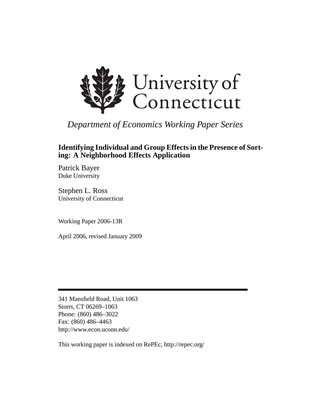

# *Department of Economics Working Paper Series*

## **Identifying Individual and Group Effects in the Presence of Sorting: A Neighborhood Effects Application**

Patrick Bayer Duke University

Stephen L. Ross University of Connecticut

Working Paper 2006-13R

April 2006, revised January 2009

341 Mansfield Road, Unit 1063 Storrs, CT 06269–1063 Phone: (860) 486–3022 Fax: (860) 486–4463 http://www.econ.uconn.edu/

This working paper is indexed on RePEc, http://repec.org/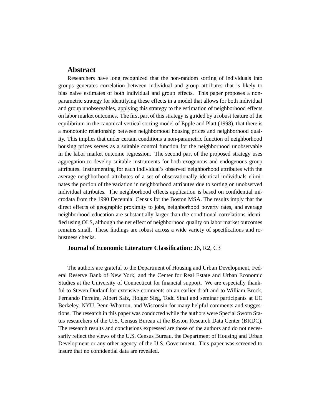### **Abstract**

Researchers have long recognized that the non-random sorting of individuals into groups generates correlation between individual and group attributes that is likely to bias naive estimates of both individual and group effects. This paper proposes a nonparametric strategy for identifying these effects in a model that allows for both individual and group unobservables, applying this strategy to the estimation of neighborhood effects on labor market outcomes. The first part of this strategy is guided by a robust feature of the equilibrium in the canonical vertical sorting model of Epple and Platt (1998), that there is a monotonic relationship between neighborhood housing prices and neighborhood quality. This implies that under certain conditions a non-parametric function of neighborhood housing prices serves as a suitable control function for the neighborhood unobservable in the labor market outcome regression. The second part of the proposed strategy uses aggregation to develop suitable instruments for both exogenous and endogenous group attributes. Instrumenting for each individual's observed neighborhood attributes with the average neighborhood attributes of a set of observationally identical individuals eliminates the portion of the variation in neighborhood attributes due to sorting on unobserved individual attributes. The neighborhood effects application is based on confidential microdata from the 1990 Decennial Census for the Boston MSA. The results imply that the direct effects of geographic proximity to jobs, neighborhood poverty rates, and average neighborhood education are substantially larger than the conditional correlations identified using OLS, although the net effect of neighborhood quality on labor market outcomes remains small. These findings are robust across a wide variety of specifications and robustness checks.

#### **Journal of Economic Literature Classification:** J6, R2, C3

The authors are grateful to the Department of Housing and Urban Development, Federal Reserve Bank of New York, and the Center for Real Estate and Urban Economic Studies at the University of Connecticut for financial support. We are especially thankful to Steven Durlauf for extensive comments on an earlier draft and to William Brock, Fernando Ferreira, Albert Saiz, Holger Sieg, Todd Sinai and seminar participants at UC Berkeley, NYU, Penn-Wharton, and Wisconsin for many helpful comments and suggestions. The research in this paper was conducted while the authors were Special Sworn Status researchers of the U.S. Census Bureau at the Boston Research Data Center (BRDC). The research results and conclusions expressed are those of the authors and do not necessarily reflect the views of the U.S. Census Bureau, the Department of Housing and Urban Development or any other agency of the U.S. Government. This paper was screened to insure that no confidential data are revealed.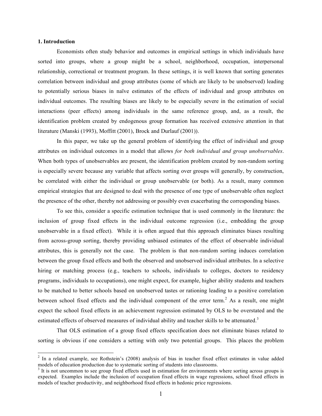#### **1. Introduction**

Economists often study behavior and outcomes in empirical settings in which individuals have sorted into groups, where a group might be a school, neighborhood, occupation, interpersonal relationship, correctional or treatment program. In these settings, it is well known that sorting generates correlation between individual and group attributes (some of which are likely to be unobserved) leading to potentially serious biases in naïve estimates of the effects of individual and group attributes on individual outcomes. The resulting biases are likely to be especially severe in the estimation of social interactions (peer effects) among individuals in the same reference group, and, as a result, the identification problem created by endogenous group formation has received extensive attention in that literature (Manski (1993), Moffitt (2001), Brock and Durlauf (2001)).

In this paper, we take up the general problem of identifying the effect of individual and group attributes on individual outcomes in a model that allows *for both individual and group unobservables*. When both types of unobservables are present, the identification problem created by non-random sorting is especially severe because any variable that affects sorting over groups will generally, by construction, be correlated with either the individual or group unobservable (or both). As a result, many common empirical strategies that are designed to deal with the presence of one type of unobservable often neglect the presence of the other, thereby not addressing or possibly even exacerbating the corresponding biases.

To see this, consider a specific estimation technique that is used commonly in the literature: the inclusion of group fixed effects in the individual outcome regression (i.e., embedding the group unobservable in a fixed effect). While it is often argued that this approach eliminates biases resulting from across-group sorting, thereby providing unbiased estimates of the effect of observable individual attributes, this is generally not the case. The problem is that non-random sorting induces correlation between the group fixed effects and both the observed and unobserved individual attributes. In a selective hiring or matching process (e.g., teachers to schools, individuals to colleges, doctors to residency programs, individuals to occupations), one might expect, for example, higher ability students and teachers to be matched to better schools based on unobserved tastes or rationing leading to a positive correlation between school fixed effects and the individual component of the error term.<sup>2</sup> As a result, one might expect the school fixed effects in an achievement regression estimated by OLS to be overstated and the estimated effects of observed measures of individual ability and teacher skills to be attenuated.<sup>3</sup>

That OLS estimation of a group fixed effects specification does not eliminate biases related to sorting is obvious if one considers a setting with only two potential groups. This places the problem

 $\frac{1}{2}$ <sup>2</sup> In a related example, see Rothstein's (2008) analysis of bias in teacher fixed effect estimates in value added models of education production due to systematic sorting of students into classrooms.

<sup>&</sup>lt;sup>3</sup> It is not uncommon to see group fixed effects used in estimation for environments where sorting across groups is expected. Examples include the inclusion of occupation fixed effects in wage regressions, school fixed effects in models of teacher productivity, and neighborhood fixed effects in hedonic price regressions.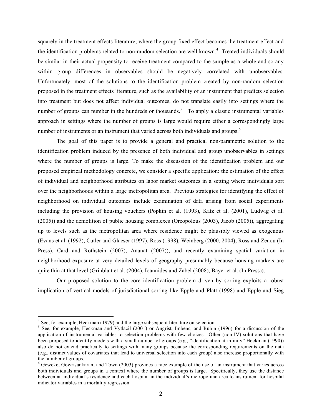squarely in the treatment effects literature, where the group fixed effect becomes the treatment effect and the identification problems related to non-random selection are well known.<sup>4</sup> Treated individuals should be similar in their actual propensity to receive treatment compared to the sample as a whole and so any within group differences in observables should be negatively correlated with unobservables. Unfortunately, most of the solutions to the identification problem created by non-random selection proposed in the treatment effects literature, such as the availability of an instrument that predicts selection into treatment but does not affect individual outcomes, do not translate easily into settings where the number of groups can number in the hundreds or thousands.<sup>5</sup> To apply a classic instrumental variables approach in settings where the number of groups is large would require either a correspondingly large number of instruments or an instrument that varied across both individuals and groups.<sup>6</sup>

The goal of this paper is to provide a general and practical non-parametric solution to the identification problem induced by the presence of both individual and group unobservables in settings where the number of groups is large. To make the discussion of the identification problem and our proposed empirical methodology concrete, we consider a specific application: the estimation of the effect of individual and neighborhood attributes on labor market outcomes in a setting where individuals sort over the neighborhoods within a large metropolitan area. Previous strategies for identifying the effect of neighborhood on individual outcomes include examination of data arising from social experiments including the provision of housing vouchers (Popkin et al. (1993), Katz et al. (2001), Ludwig et al. (2005)) and the demolition of public housing complexes (Oreopolous (2003), Jacob (2005)), aggregating up to levels such as the metropolitan area where residence might be plausibly viewed as exogenous (Evans et al. (1992), Cutler and Glaeser (1997), Ross (1998), Weinberg (2000, 2004), Ross and Zenou (In Press), Card and Rothstein (2007), Ananat (2007)), and recently examining spatial variation in neighborhood exposure at very detailed levels of geography presumably because housing markets are quite thin at that level (Grinblatt et al. (2004), Ioannides and Zabel (2008), Bayer et al. (In Press)).

Our proposed solution to the core identification problem driven by sorting exploits a robust implication of vertical models of jurisdictional sorting like Epple and Platt (1998) and Epple and Sieg

 $\frac{1}{4}$  $4$  See, for example, Heckman (1979) and the large subsequent literature on selection.

<sup>&</sup>lt;sup>5</sup> See, for example, Heckman and Vytlacil (2001) or Angrist, Imbens, and Rubin (1996) for a discussion of the application of instrumental variables to selection problems with few choices. Other (non-IV) solutions that have been proposed to identify models with a small number of groups (e.g., "identification at infinity" Heckman (1990)) also do not extend practically to settings with many groups because the corresponding requirements on the data (e.g., distinct values of covariates that lead to universal selection into each group) also increase proportionally with the number of groups.

<sup>&</sup>lt;sup>6</sup> Geweke, Gowrisankaran, and Town (2003) provides a nice example of the use of an instrument that varies across both individuals and groups in a context where the number of groups is large. Specifically, they use the distance between an individual's residence and each hospital in the individual's metropolitan area to instrument for hospital indicator variables in a mortality regression.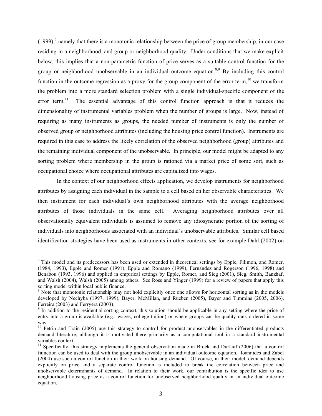$(1999)$ ,<sup>7</sup> namely that there is a monotonic relationship between the price of group membership, in our case residing in a neighborhood, and group or neighborhood quality. Under conditions that we make explicit below, this implies that a non-parametric function of price serves as a suitable control function for the group or neighborhood unobservable in an individual outcome equation.<sup>8,9</sup> By including this control function in the outcome regression as a proxy for the group component of the error term,  $10$  we transform the problem into a more standard selection problem with a single individual-specific component of the error term.<sup>11</sup> The essential advantage of this control function approach is that it reduces the dimensionality of instrumental variables problem when the number of groups is large. Now, instead of requiring as many instruments as groups, the needed number of instruments is only the number of observed group or neighborhood attributes (including the housing price control function). Instruments are required in this case to address the likely correlation of the observed neighborhood (group) attributes and the remaining individual component of the unobservable. In principle, our model might be adapted to any sorting problem where membership in the group is rationed via a market price of some sort, such as occupational choice where occupational attributes are capitalized into wages.

In the context of our neighborhood effects application, we develop instruments for neighborhood attributes by assigning each individual in the sample to a cell based on her observable characteristics. We then instrument for each individual's own neighborhood attributes with the average neighborhood attributes of those individuals in the same cell. Averaging neighborhood attributes over all observationally equivalent individuals is assumed to remove any idiosyncratic portion of the sorting of individuals into neighborhoods associated with an individual's unobservable attributes. Similar cell based identification strategies have been used as instruments in other contexts, see for example Dahl (2002) on

<sup>-&</sup>lt;br>7  $\frac{7}{1}$  This model and its predecessors has been used or extended in theoretical settings by Epple, Filimon, and Romer, (1984, 1993), Epple and Romer (1991), Epple and Romano (1999), Fernandez and Rogerson (1996, 1998) and Benabou (1993, 1996) and applied in empirical settings by Epple, Romer, and Sieg (2001), Sieg, Smith, Banzhaf, and Walsh (2004), Walsh (2005) among others. See Ross and Yinger (1999) for a review of papers that apply this sorting model within local public finance.

<sup>&</sup>lt;sup>8</sup> Note that monotonic relationship may not hold explicitly once one allows for horizontal sorting as in the models developed by Nechyba (1997, 1999), Bayer, McMillan, and Rueben (2005), Bayer and Timmins (2005, 2006), Ferreira (2003) and Ferryera (2003).

<sup>&</sup>lt;sup>9</sup> In addition to the residential sorting context, this solution should be applicable in any setting where the price of entry into a group is available (e.g., wages, college tuition) or where groups can be quality rank-ordered in some way.

<sup>&</sup>lt;sup>10</sup> Petrin and Train (2005) use this strategy to control for product unobservables in the differentiated products demand literature, although it is motivated there primarily as a computational tool in a standard instrumental variables context.

 $11$  Specifically, this strategy implements the general observation made in Brock and Durlauf (2006) that a control fiunction can be used to deal with the group unobservable in an individual outcome equation. Ioannides and Zabel (2004) use such a control function in their work on housing demand. Of course, in their model, demand depends explicitly on price and a separate control function is included to break the correlation between price and unobservable determinants of demand. In relation to their work, our contribution is the specific idea to use neighborhood housing price as a control function for unobserved neighborhood quality in an individual outcome equation.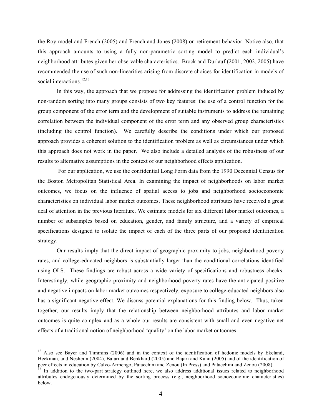the Roy model and French (2005) and French and Jones (2008) on retirement behavior. Notice also, that this approach amounts to using a fully non-parametric sorting model to predict each individual's neighborhood attributes given her observable characteristics. Brock and Durlauf (2001, 2002, 2005) have recommended the use of such non-linearities arising from discrete choices for identification in models of social interactions.<sup>12,13</sup>

In this way, the approach that we propose for addressing the identification problem induced by non-random sorting into many groups consists of two key features: the use of a control function for the group component of the error term and the development of suitable instruments to address the remaining correlation between the individual component of the error term and any observed group characteristics (including the control function). We carefully describe the conditions under which our proposed approach provides a coherent solution to the identification problem as well as circumstances under which this approach does not work in the paper. We also include a detailed analysis of the robustness of our results to alternative assumptions in the context of our neighborhood effects application.

 For our application, we use the confidential Long Form data from the 1990 Decennial Census for the Boston Metropolitan Statistical Area. In examining the impact of neighborhoods on labor market outcomes, we focus on the influence of spatial access to jobs and neighborhood socioeconomic characteristics on individual labor market outcomes. These neighborhood attributes have received a great deal of attention in the previous literature. We estimate models for six different labor market outcomes, a number of subsamples based on education, gender, and family structure, and a variety of empirical specifications designed to isolate the impact of each of the three parts of our proposed identification strategy.

Our results imply that the direct impact of geographic proximity to jobs, neighborhood poverty rates, and college-educated neighbors is substantially larger than the conditional correlations identified using OLS. These findings are robust across a wide variety of specifications and robustness checks. Interestingly, while geographic proximity and neighborhood poverty rates have the anticipated positive and negative impacts on labor market outcomes respectively, exposure to college-educated neighbors also has a significant negative effect. We discuss potential explanations for this finding below. Thus, taken together, our results imply that the relationship between neighborhood attributes and labor market outcomes is quite complex and as a whole our results are consistent with small and even negative net effects of a traditional notion of neighborhood 'quality' on the labor market outcomes.

<sup>&</sup>lt;sup>12</sup> Also see Bayer and Timmins (2006) and in the context of the identification of hedonic models by Ekeland, Heckman, and Nesheim (2004), Bajari and Benkhard (2005) and Bajari and Kahn (2005) and of the identification of peer effects in education by Calvo-Armengo, Patacchini and Zenou (In Press) and Patacchini and Zenou (2008).

 $13$  In addition to the two-part strategy outlined here, we also address additional issues related to neighborhood attributes endogenously determined by the sorting process (e.g., neighborhood socioeconomic characteristics) below.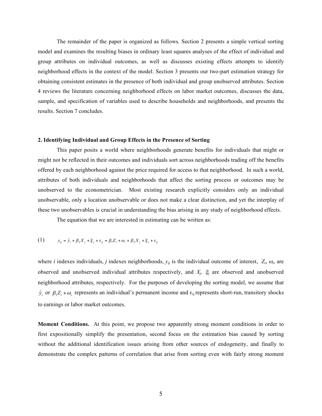The remainder of the paper is organized as follows. Section 2 presents a simple vertical sorting model and examines the resulting biases in ordinary least squares analyses of the effect of individual and group attributes on individual outcomes, as well as discusses existing effects attempts to identify neighborhood effects in the context of the model. Section 3 presents our two-part estimation strategy for obtaining consistent estimates in the presence of both individual and group unobserved attributes. Section 4 reviews the literature concerning neighborhood effects on labor market outcomes, discusses the data, sample, and specification of variables used to describe households and neighborhoods, and presents the results. Section 7 concludes.

#### **2. Identifying Individual and Group Effects in the Presence of Sorting**

This paper posits a world where neighborhoods generate benefits for individuals that might or might not be reflected in their outcomes and individuals sort across neighborhoods trading off the benefits offered by each neighborhood against the price required for access to that neighborhood. In such a world, attributes of both individuals and neighborhoods that affect the sorting process or outcomes may be unobserved to the econometrician. Most existing research explicitly considers only an individual unobservable, only a location unobservable or does not make a clear distinction, and yet the interplay of these two unobservables is crucial in understanding the bias arising in any study of neighborhood effects.

The equation that we are interested in estimating can be written as:

$$
(1) \t y_{ij} = \hat{y}_i + \beta_2 X_j + \xi_j + \varepsilon_{ij} = \beta_1 Z_i + \omega_i + \beta_2 X_j + \xi_j + \varepsilon_{ij}
$$

where *i* indexes individuals, *j* indexes neighborhoods, *yij* is the individual outcome of interest, *Zi*, <sup>ω</sup>*i*, are observed and unobserved individual attributes respectively, and *Xj,* ξ*j* are observed and unobserved neighborhood attributes, respectively. For the purposes of developing the sorting model, we assume that  $\hat{y}_i$  or  $\beta_1 Z_i + \omega_i$  represents an individual's permanent income and  $\varepsilon_{ij}$  represents short-run, transitory shocks to earnings or labor market outcomes.

**Moment Conditions.** At this point, we propose two apparently strong moment conditions in order to first expositionally simplify the presentation, second focus on the estimation bias caused by sorting without the additional identification issues arising from other sources of endogeneity, and finally to demonstrate the complex patterns of correlation that arise from sorting even with fairly strong moment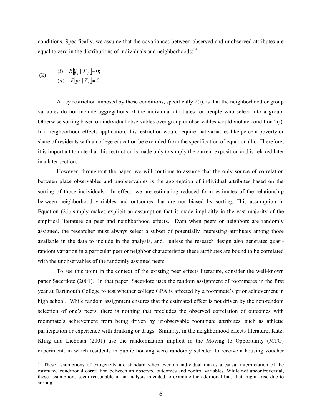conditions. Specifically, we assume that the covariances between observed and unobserved attributes are equal to zero in the distributions of individuals and neighborhoods: $14$ 

(2) (i) 
$$
E\left[\xi_j | X_j\right] = 0;
$$
  
\n(ii)  $E[\omega_i | Z_i] = 0;$ 

A key restriction imposed by these conditions, specifically 2(i), is that the neighborhood or group variables do not include aggregations of the individual attributes for people who select into a group. Otherwise sorting based on individual observables over group unobservables would violate condition 2(i). In a neighborhood effects application, this restriction would require that variables like percent poverty or share of residents with a college education be excluded from the specification of equation (1). Therefore, it is important to note that this restriction is made only to simply the current exposition and is relaxed later in a later section.

However, throughout the paper, we will continue to assume that the only source of correlation between place observables and unobservables is the aggregation of individual attributes based on the sorting of those individuals. In effect, we are estimating reduced form estimates of the relationship between neighborhood variables and outcomes that are not biased by sorting. This assumption in Equation (2.i) simply makes explicit an assumption that is made implicitly in the vast majority of the empirical literature on peer and neighborhood effects. Even when peers or neighbors are randomly assigned, the researcher must always select a subset of potentially interesting attributes among those available in the data to include in the analysis, and. unless the research design also generates quasirandom variation in a particular peer or neighbor characteristics these attributes are bound to be correlated with the unobservables of the randomly assigned peers,

To see this point in the context of the existing peer effects literature, consider the well-known paper Sacerdote (2001)*.* In that paper, Sacerdote uses the random assignment of roommates in the first year at Dartmouth College to test whether college GPA is affected by a roommate's prior achievement in high school. While random assignment ensures that the estimated effect is not driven by the non-random selection of one's peers, there is nothing that precludes the observed correlation of outcomes with roommate's achievement from being driven by unobservable roommate attributes, such as athletic participation or experience with drinking or drugs. Smilarly, in the neighborhood effects literature, Katz, Kling and Liebman (2001) use the randomization implicit in the Moving to Opportunity (MTO) experiment, in which residents in public housing were randomly selected to receive a housing voucher

<sup>&</sup>lt;sup>14</sup> These assumptions of exogeneity are standard when ever an individual makes a causal interpretation of the estimated conditional correlation between an observed outcomes and control variables. While not uncontroversial, these assumptions seem reasonable in an analysis intended to examine the additional bias that might arise due to sorting.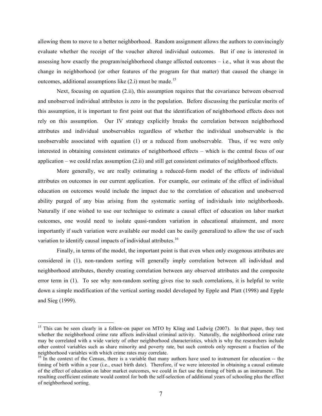allowing them to move to a better neighborhood. Random assignment allows the authors to convincingly evaluate whether the receipt of the voucher altered individual outcomes. But if one is interested in assessing how exactly the program/neighborhood change affected outcomes – i.e., what it was about the change in neighborhood (or other features of the program for that matter) that caused the change in outcomes, additional assumptions like  $(2,i)$  must be made.<sup>15</sup>

Next, focusing on equation (2.ii), this assumption requires that the covariance between observed and unobserved individual attributes is zero in the population. Before discussing the particular merits of this assumption, it is important to first point out that the identification of neighborhood effects does not rely on this assumption. Our IV strategy explicitly breaks the correlation between neighborhood attributes and individual unobservables regardless of whether the individual unobservable is the unobservable associated with equation (1) or a reduced from unobservable. Thus, if we were only interested in obtaining consistent estimates of neighborhood effects – which is the central focus of our application – we could relax assumption (2.ii) and still get consistent estimates of neighborhood effects.

More generally, we are really estimating a reduced-form model of the effects of individual attributes on outcomes in our current application. For example, our estimate of the effect of individual education on outcomes would include the impact due to the correlation of education and unobserved ability purged of any bias arising from the systematic sorting of individuals into neighborhoods. Naturally if one wished to use our technique to estimate a causal effect of education on labor market outcomes, one would need to isolate quasi-random variation in educational attainment, and more importantly if such variation were available our model can be easily generalized to allow the use of such variation to identify causal impacts of individual attributes.<sup>16</sup>

Finally, in terms of the model, the important point is that even when only exogenous attributes are considered in (1), non-random sorting will generally imply correlation between all individual and neighborhood attributes, thereby creating correlation between any observed attributes and the composite error term in (1). To see why non-random sorting gives rise to such correlations, it is helpful to write down a simple modification of the vertical sorting model developed by Epple and Platt (1998) and Epple and Sieg (1999).

<sup>&</sup>lt;sup>15</sup> This can be seen clearly in a follow-on paper on MTO by Kling and Ludwig (2007). In that paper, they test whether the neighborhood crime rate affects individual criminal activity. Naturally, the neighborhood crime rate may be correlated with a wide variety of other neighborhood characteristics, which is why the researchers include other control variables such as share minority and poverty rate, but such controls only represent a fraction of the

 $16$  In the context of the Census, there is a variable that many authors have used to instrument for education -- the timing of birth within a year (i.e., exact birth date). Therefore, if we were interested in obtaining a causal estimate of the effect of education on labor market outcomes, we could in fact use the timing of birth as an instrument. The resulting coefficient estimate would control for both the self-selection of additional years of schooling plus the effect of neighborhood sorting.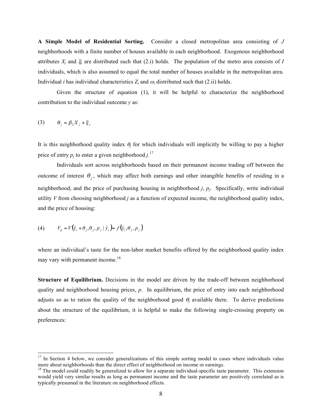**A Simple Model of Residential Sorting.** Consider a closed metropolitan area consisting of *J* neighborhoods with a finite number of houses available in each neighborhood. Exogenous neighborhood attributes  $X_i$  and  $\xi_i$  are distributed such that (2.i) holds. The population of the metro area consists of *I* individuals, which is also assumed to equal the total number of houses available in the metropolitan area. Individual *i* has individual characteristics  $Z_i$  and  $\omega_i$  distributed such that (2.ii) holds.

Given the structure of equation (1), it will be helpful to characterize the neighborhood contribution to the individual outcome *y* as:

$$
(3) \qquad \theta_j = \beta_2 X_j + \xi_j
$$

It is this neighborhood quality index  $\theta_i$  for which individuals will implicitly be willing to pay a higher price of entry  $p_i$  to enter a given neighborhood  $j$ <sup>17</sup>

Individuals sort across neighborhoods based on their permanent income trading off between the outcome of interest  $\theta_i$ , which may affect both earnings and other intangible benefits of residing in a neighborhood, and the price of purchasing housing in neighborhood *j*, *pj*. Specifically, write individual utility *V* from choosing neighborhood *j* as a function of expected income, the neighborhood quality index, and the price of housing:

(4) 
$$
V_{ij} = V(\hat{y}_i + \theta_j, \theta_j, p_j | \hat{y}_i) = f(\hat{y}_i, \theta_j, p_j)
$$

where an individual's taste for the non-labor market benefits offered by the neighborhood quality index may vary with permanent income.<sup>18</sup>

**Structure of Equilibrium.** Decisions in the model are driven by the trade-off between neighborhood quality and neighborhood housing prices, *p*. In equilibrium, the price of entry into each neighborhood adjusts so as to ration the quality of the neighborhood good  $\theta_i$  available there. To derive predictions about the structure of the equilibrium, it is helpful to make the following single-crossing property on preferences:

 $17$  In Section 4 below, we consider generalizations of this simple sorting model to cases where individuals value more about neighborhoods than the direct effect of neighborhood on income or earnings.

 $<sup>18</sup>$  The model could readily be generalized to allow for a separate individual-specific taste parameter. This extension</sup> would yield very similar results as long as permanent income and the taste parameter are positively correlated as is typically presumed in the literature on neighborhood effects.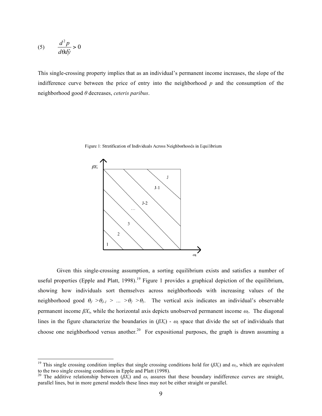$$
(5) \qquad \frac{d^2 p}{d\theta d\hat{y}} > 0
$$

This single-crossing property implies that as an individual's permanent income increases, the slope of the indifference curve between the price of entry into the neighborhood *p* and the consumption of the neighborhood good *θ* decreases, *ceteris paribus*.



Figure 1: Stratification of Individuals Across Neighborhoods in Equilibrium

Given this single-crossing assumption, a sorting equilibrium exists and satisfies a number of useful properties (Epple and Platt, 1998).<sup>19</sup> Figure 1 provides a graphical depiction of the equilibrium, showing how individuals sort themselves across neighborhoods with increasing values of the neighborhood good  $\theta_J > \theta_{J-1} > ... > \theta_2 > \theta_I$ . The vertical axis indicates an individual's observable permanent income  $\beta X_i$ , while the horizontal axis depicts unobserved permanent income  $\omega_i$ . The diagonal lines in the figure characterize the boundaries in  $(\beta X_i)$  -  $\omega_i$  space that divide the set of individuals that choose one neighborhood versus another.<sup>20</sup> For expositional purposes, the graph is drawn assuming a

<sup>&</sup>lt;sup>19</sup> This single crossing condition implies that single crossing conditions hold for  $(\beta X_i)$  and  $\omega_i$ , which are equivalent to the two single crossing conditions in Epple and Platt (1998).

<sup>&</sup>lt;sup>20</sup> The additive relationship between  $(\beta X_i)$  and  $\omega_i$  assures that these boundary indifference curves are straight, parallel lines, but in more general models these lines may not be either straight or parallel.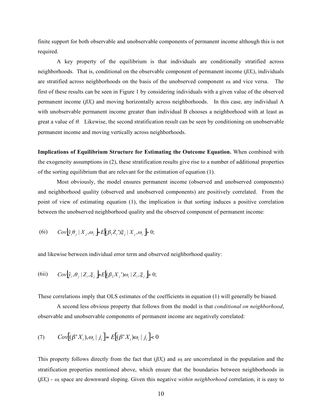finite support for both observable and unobservable components of permanent income although this is not required.

A key property of the equilibrium is that individuals are conditionally stratified across neighborhoods. That is, conditional on the observable component of permanent income (*βXi*), individuals are stratified across neighborhoods on the basis of the unobserved component  $\omega_i$  and vice versa. The first of these results can be seen in Figure 1 by considering individuals with a given value of the observed permanent income (*βXi*) and moving horizontally across neighborhoods. In this case, any individual A with unobservable permanent income greater than individual B chooses a neighborhood with at least as great a value of  $\theta$ . Likewise, the second stratification result can be seen by conditioning on unobservable permanent income and moving vertically across neighborhoods.

**Implications of Equilibrium Structure for Estimating the Outcome Equation.** When combined with the exogeneity assumptions in (2), these stratification results give rise to a number of additional properties of the sorting equilibrium that are relevant for the estimation of equation (1).

Most obviously, the model ensures permanent income (observed and unobserved components) and neighborhood quality (observed and unobserved components) are positively correlated. From the point of view of estimating equation (1), the implication is that sorting induces a positive correlation between the unobserved neighborhood quality and the observed component of permanent income:

$$
(6i) \qquad Cov[\hat{y}_i\theta_j \mid X_j, \omega_i] = E[(\beta_1 Z_i')\xi_j \mid X_j, \omega_i] \geq 0;
$$

and likewise between individual error term and observed neighborhood quality:

$$
(6ii) \qquad Cov[\hat{y}_i, \theta_j \mid Z_i, \xi_j] = E[(\beta_2 X_j')\omega_i \mid Z_i, \xi_j] \geq 0;
$$

These correlations imply that OLS estimates of the coefficients in equation (1) will generally be biased.

A second less obvious property that follows from the model is that *conditional on neighborhood*, observable and unobservable components of permanent income are negatively correlated:

(7) 
$$
Cov[(\beta'X_i), \omega_i | j_i] = E[(\beta'X_i)\omega_i | j_i] < 0
$$

This property follows directly from the fact that (*βXi*) and <sup>ω</sup>*i* are uncorrelated in the population and the stratification properties mentioned above, which ensure that the boundaries between neighborhoods in (*βXi*) - <sup>ω</sup>*i* space are downward sloping. Given this negative *within neighborhood* correlation, it is easy to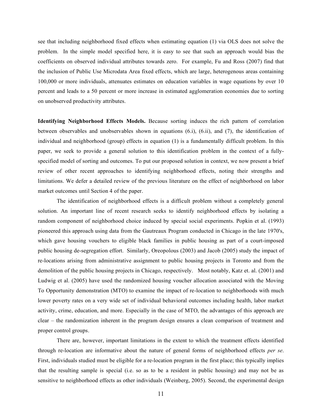see that including neighborhood fixed effects when estimating equation (1) via OLS does not solve the problem. In the simple model specified here, it is easy to see that such an approach would bias the coefficients on observed individual attributes towards zero. For example, Fu and Ross (2007) find that the inclusion of Public Use Microdata Area fixed effects, which are large, heterogenous areas containing 100,000 or more individuals, attenuates estimates on education variables in wage equations by over 10 percent and leads to a 50 percent or more increase in estimated agglomeration economies due to sorting on unobserved productivity attributes.

**Identifying Neighborhood Effects Models.** Because sorting induces the rich pattern of correlation between observables and unobservables shown in equations (6.i), (6.ii), and (7), the identification of individual and neighborhood (group) effects in equation (1) is a fundamentally difficult problem. In this paper, we seek to provide a general solution to this identification problem in the context of a fullyspecified model of sorting and outcomes. To put our proposed solution in context, we now present a brief review of other recent approaches to identifying neighborhood effects, noting their strengths and limitations. We defer a detailed review of the previous literature on the effect of neighborhood on labor market outcomes until Section 4 of the paper.

The identification of neighborhood effects is a difficult problem without a completely general solution. An important line of recent research seeks to identify neighborhood effects by isolating a random component of neighborhood choice induced by special social experiments. Popkin et al. (1993) pioneered this approach using data from the Gautreaux Program conducted in Chicago in the late 1970's, which gave housing vouchers to eligible black families in public housing as part of a court-imposed public housing de-segregation effort. Similarly, Oreopolous (2003) and Jacob (2005) study the impact of re-locations arising from administrative assignment to public housing projects in Toronto and from the demolition of the public housing projects in Chicago, respectively. Most notably, Katz et. al. (2001) and Ludwig et al. (2005) have used the randomized housing voucher allocation associated with the Moving To Opportunity demonstration (MTO) to examine the impact of re-location to neighborhoods with much lower poverty rates on a very wide set of individual behavioral outcomes including health, labor market activity, crime, education, and more. Especially in the case of MTO, the advantages of this approach are clear – the randomization inherent in the program design ensures a clean comparison of treatment and proper control groups.

There are, however, important limitations in the extent to which the treatment effects identified through re-location are informative about the nature of general forms of neighborhood effects *per se*. First, individuals studied must be eligible for a re-location program in the first place; this typically implies that the resulting sample is special (i.e. so as to be a resident in public housing) and may not be as sensitive to neighborhood effects as other individuals (Weinberg, 2005). Second, the experimental design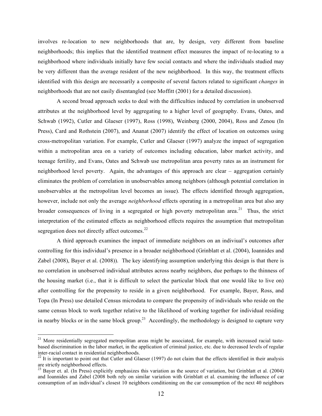involves re-location to new neighborhoods that are, by design, very different from baseline neighborhoods; this implies that the identified treatment effect measures the impact of re-locating to a neighborhood where individuals initially have few social contacts and where the individuals studied may be very different than the average resident of the new neighborhood. In this way, the treatment effects identified with this design are necessarily a composite of several factors related to significant *changes* in neighborhoods that are not easily disentangled (see Moffitt (2001) for a detailed discussion).

A second broad approach seeks to deal with the difficulties induced by correlation in unobserved attributes at the neighborhood level by aggregating to a higher level of geography. Evans, Oates, and Schwab (1992), Cutler and Glaeser (1997), Ross (1998), Weinberg (2000, 2004), Ross and Zenou (In Press), Card and Rothstein (2007), and Ananat (2007) identify the effect of location on outcomes using cross-metropolitan variation. For example, Cutler and Glaeser (1997) analyze the impact of segregation within a metropolitan area on a variety of outcomes including education, labor market activity, and teenage fertility, and Evans, Oates and Schwab use metropolitan area poverty rates as an instrument for neighborhood level poverty. Again, the advantages of this approach are clear – aggregation certainly eliminates the problem of correlation in unobservables among neighbors (although potential correlation in unobservables at the metropolitan level becomes an issue). The effects identified through aggregation, however, include not only the average *neighborhood* effects operating in a metropolitan area but also any broader consequences of living in a segregated or high poverty metropolitan area.<sup>21</sup> Thus, the strict interpretation of the estimated effects as neighborhood effects requires the assumption that metropolitan segregation does not directly affect outcomes.<sup>22</sup>

A third approach examines the impact of immediate neighbors on an indiviual's outcomes after controlling for this individual's presence in a broader neighborhood (Grinblatt et al. (2004), Ioannides and Zabel (2008), Bayer et al. (2008)). The key identifying assumption underlying this design is that there is no correlation in unobserved individual attributes across nearby neighbors, due perhaps to the thinness of the housing market (i.e., that it is difficult to select the particular block that one would like to live on) after controlling for the propensity to reside in a given neighborhood. For example, Bayer, Ross, and Topa (In Press) use detailed Census microdata to compare the propensity of individuals who reside on the same census block to work together relative to the likelihood of working together for individual residing in nearby blocks or in the same block group.<sup>23</sup> Accordingly, the methodology is designed to capture very

<sup>&</sup>lt;sup>21</sup> More residentially segregated metropolitan areas might be associated, for example, with increased racial tastebased discrimination in the labor market, in the application of criminal justice, etc. due to decreased levels of regular

 $^{22}$  It is important to point out that Cutler and Glaeser (1997) do not claim that the effects identified in their analysis are strictly neighborhood effects.

 $23$  Bayer et. al. (In Press) explicitly emphasizes this variation as the source of variation, but Grinblatt et al. (2004) and Ioannides and Zabel (2008 both rely on similar variation with Grinblatt et al. examining the influence of car consumption of an individual's closest 10 neighbors conditioning on the car consumption of the next 40 neighbors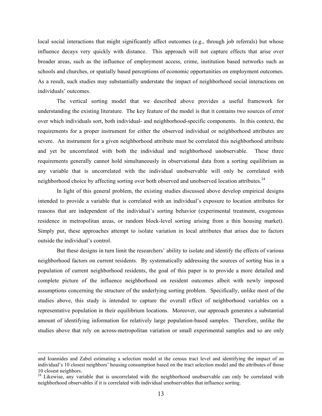local social interactions that might significantly affect outcomes (e.g., through job referrals) but whose influence decays very quickly with distance. This approach will not capture effects that arise over broader areas, such as the influence of employment access, crime, institution based networks such as schools and churches, or spatially based perceptions of economic opportunities on employment outcomes. As a result, such studies may substantially understate the impact of neighborhood social interactions on individuals' outcomes.

The vertical sorting model that we described above provides a useful framework for understanding the existing literature. The key feature of the model is that it contains two sources of error over which individuals sort, both individual- and neighborhood-specific components. In this context, the requirements for a proper instrument for either the observed individual or neighborhood attributes are severe. An instrument for a given neighborhood attribute must be correlated this neighborhood attribute and yet be uncorrelated with both the individual and neighborhood unobservable. These three requirements generally cannot hold simultaneously in observational data from a sorting equilibrium as any variable that is uncorrelated with the individual unobservable will only be correlated with neighborhood choice by affecting sorting over both observed and unobserved location attributes.<sup>24</sup>

In light of this general problem, the existing studies discussed above develop empirical designs intended to provide a variable that is correlated with an individual's exposure to location attributes for reasons that are independent of the individual's sorting behavior (experimental treatment, exogenous residence in metropolitan areas, or random block-level sorting arising from a thin housing market). Simply put, these approaches attempt to isolate variation in local attributes that arises due to factors outside the individual's control.

But these designs in turn limit the researchers' ability to isolate and identify the effects of various neighborhood factors on current residents. By systematically addressing the sources of sorting bias in a population of current neighborhood residents, the goal of this paper is to provide a more detailed and complete picture of the influence neighborhood on resident outcomes albeit with newly imposed assumptions concerning the structure of the underlying sorting problem. Specifically, unlike most of the studies above, this study is intended to capture the overall effect of neighborhood variables on a representative population in their equilibrium locations. Moreover, our approach generates a substantial amount of identifying information for relatively large population-based samples. Therefore, unlike the studies above that rely on across-metropolitan variation or small experimental samples and so are only

and Ioannides and Zabel estimating a selection model at the census tract level and identifying the impact of an individual's 10 closest neighbors' housing consumption based on the tract selection model and the attributes of those 10 closest neighbors.

<sup>&</sup>lt;sup>24</sup> Likewise, any variable that is uncorrelated with the neighborhood unobservable can only be correlated with neighborhood observables if it is correlated with individual unobservables that influence sorting.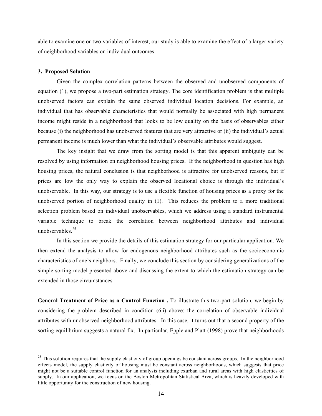able to examine one or two variables of interest, our study is able to examine the effect of a larger variety of neighborhood variables on individual outcomes.

#### **3. Proposed Solution**

Given the complex correlation patterns between the observed and unobserved components of equation (1), we propose a two-part estimation strategy. The core identification problem is that multiple unobserved factors can explain the same observed individual location decisions. For example, an individual that has observable characteristics that would normally be associated with high permanent income might reside in a neighborhood that looks to be low quality on the basis of observables either because (i) the neighborhood has unobserved features that are very attractive or (ii) the individual's actual permanent income is much lower than what the individual's observable attributes would suggest.

The key insight that we draw from the sorting model is that this apparent ambiguity can be resolved by using information on neighborhood housing prices. If the neighborhood in question has high housing prices, the natural conclusion is that neighborhood is attractive for unobserved reasons, but if prices are low the only way to explain the observed locational choice is through the individual's unobservable. In this way, our strategy is to use a flexible function of housing prices as a proxy for the unobserved portion of neighborhood quality in (1). This reduces the problem to a more traditional selection problem based on individual unobservables, which we address using a standard instrumental variable technique to break the correlation between neighborhood attributes and individual unobservables. $25$ 

In this section we provide the details of this estimation strategy for our particular application. We then extend the analysis to allow for endogenous neighborhood attributes such as the socioeconomic characteristics of one's neighbors. Finally, we conclude this section by considering generalizations of the simple sorting model presented above and discussing the extent to which the estimation strategy can be extended in those circumstances.

**General Treatment of Price as a Control Function .** To illustrate this two-part solution, we begin by considering the problem described in condition (6.i) above: the correlation of observable individual attributes with unobserved neighborhood attributes. In this case, it turns out that a second property of the sorting equilibrium suggests a natural fix. In particular, Epple and Platt (1998) prove that neighborhoods

 $25$  This solution requires that the supply elasticity of group openings be constant across groups. In the neighborhood effects model, the supply elasticity of housing must be constant across neighborhoods, which suggests that price might not be a suitable control function for an analysis including exurban and rural areas with high elasticities of supply. In our application, we focus on the Boston Metropolitan Statistical Area, which is heavily developed with little opportunity for the construction of new housing.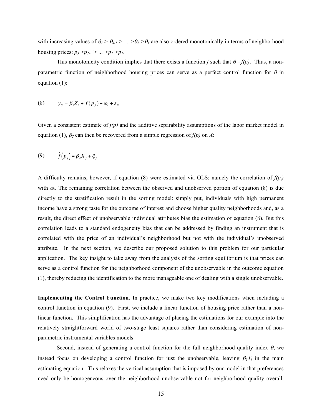with increasing values of  $\theta_J > \theta_{J} > ... > \theta_2 > \theta_I$  are also ordered monotonically in terms of neighborhood housing prices:  $p_J > p_{J-1} > ... > p_2 > p_1$ .

This monotonicity condition implies that there exists a function *f* such that  $\theta = f(p)$ . Thus, a nonparametric function of neighborhood housing prices can serve as a perfect control function for  $\theta$  in equation (1):

$$
(8) \qquad y_{ij} = \beta_1 Z_i + f(p_j) + \omega_i + \varepsilon_{ij}
$$

Given a consistent estimate of  $f(p)$  and the additive separability assumptions of the labor market model in equation (1),  $\beta_2$  can then be recovered from a simple regression of  $f(p)$  on *X*:

$$
(9) \qquad \hat{f}(p_j) = \beta_2 X_j + \xi_j
$$

! A difficulty remains, however, if equation (8) were estimated via OLS: namely the correlation of *f(pj)* with  $\omega_i$ . The remaining correlation between the observed and unobserved portion of equation (8) is due directly to the stratification result in the sorting model: simply put, individuals with high permanent income have a strong taste for the outcome of interest and choose higher quality neighborhoods and, as a result, the direct effect of unobservable individual attributes bias the estimation of equation (8). But this correlation leads to a standard endogeneity bias that can be addressed by finding an instrument that is correlated with the price of an individual's neighborhood but not with the individual's unobserved attribute. In the next section, we describe our proposed solution to this problem for our particular application. The key insight to take away from the analysis of the sorting equilibrium is that prices can serve as a control function for the neighborhood component of the unobservable in the outcome equation (1), thereby reducing the identification to the more manageable one of dealing with a single unobservable.

**Implementing the Control Function.** In practice, we make two key modifications when including a control function in equation (9). First, we include a linear function of housing price rather than a nonlinear function. This simplification has the advantage of placing the estimations for our example into the relatively straightforward world of two-stage least squares rather than considering estimation of nonparametric instrumental variables models.

Second, instead of generating a control function for the full neighborhood quality index  $\theta$ , we instead focus on developing a control function for just the unobservable, leaving  $\beta_2 X_i$  in the main estimating equation. This relaxes the vertical assumption that is imposed by our model in that preferences need only be homogeneous over the neighborhood unobservable not for neighborhood quality overall.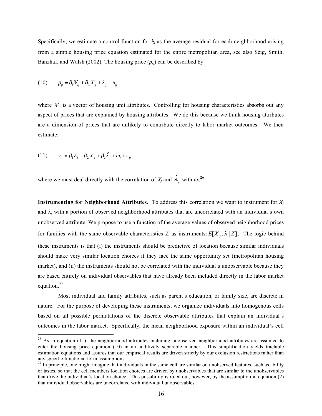Specifically, we estimate a control function for ξ*j* as the average residual for each neighborhood arising from a simple housing price equation estimated for the entire metropolitan area, see also Seig, Smith, Banzhaf, and Walsh (2002). The housing price  $(p_{ii})$  can be described by

$$
(10) \t p_{ij} = \delta_1 W_{ij} + \delta_2 X_j + \lambda_j + u_{ij}
$$

where  $W_{ij}$  is a vector of housing unit attributes. Controlling for housing characteristics absorbs out any aspect of prices that are explained by housing attributes. We do this because we think housing attributes are a dimension of prices that are unlikely to contribute directly to labor market outcomes. We then estimate:

(11) 
$$
y_{ij} = \beta_1 Z_i + \beta_2 X_j + \beta_3 \hat{\lambda}_i + \omega_i + \varepsilon_{ij}
$$

where we must deal directly with the correlation of  $X_j$  and  $\hat{\lambda}_j$  with  $\omega_i$ .<sup>26</sup>

**Instrumenting for Neighborhood Attributes.** To address this correlation we want to instrument for *Xj* and  $\lambda_i$  with a portion of observed neighborhood attributes that are uncorrelated with an individual's own unobserved attribute. We propose to use a function of the average values of observed neighborhood prices for families with the same observable characteristics  $Z_i$  as instruments:  $E[X_i, \hat{\lambda} | Z]$ . The logic behind these instruments is that (i) the instruments should be predictive of location because similar individuals should make very similar location choices if they face the same opportunity set (metropolitan housing market), and (ii) the instruments should not be correlated with the individual's unobservable because they are based entirely on individual observables that have already been included directly in the labor market equation.<sup>27</sup>

 Most individual and family attributes, such as parent's education, or family size, are discrete in nature. For the purpose of developing these instruments, we organize individuals into homogenous cells based on all possible permutations of the discrete observable attributes that explain an individual's outcomes in the labor market. Specifically, the mean neighborhood exposure within an individual's cell

 $^{26}$  As in equation (11), the neighborhood attributes including unobserved neighborhood attributes are assumed to enter the housing price equation (10) in an additively separable manner. This simplification yields tractable estimation equations and assures that our empirical results are driven strictly by our exclusion restrictions rather than any specific functional form assumptions.

 $^{27}$  In principle, one might imagine that individuals in the same cell are similar on unobserved features, such as ability or tastes, so that the cell members location choices are driven by unobservables that are similar to the unobservables that drive the individual's location choice. This possibility is ruled out, however, by the assumption in equation (2) that individual observables are uncorrelated with individual unobservables.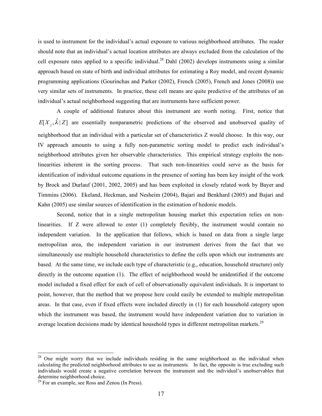is used to instrument for the individual's actual exposure to various neighborhood attributes. The reader should note that an individual's actual location attributes are always excluded from the calculation of the cell exposure rates applied to a specific individual.<sup>28</sup> Dahl (2002) develops instruments using a similar approach based on state of birth and individual attributes for estimating a Roy model, and recent dynamic programming applications (Gourinchas and Parker (2002), French (2005), French and Jones (2008)) use very similar sets of instruments. In practice, these cell means are quite predictive of the attributes of an individual's actual neighborhood suggesting that are instruments have sufficient power.

A couple of additional features about this instrument are worth noting. First, notice that  $E[X_i, \hat{\lambda} | Z]$  are essentially nonparametric predictions of the observed and unobserved quality of neighborhood that an individual with a particular set of characteristics Z would choose. In this way, our IV approach amounts to using a fully non-parametric sorting model to predict each individual's neighborhood attributes given her observable characteristics. This empirical strategy exploits the nonlinearities inherent in the sorting process. That such non-linearities could serve as the basis for identification of individual outcome equations in the presence of sorting has been key insight of the work by Brock and Durlauf (2001, 2002, 2005) and has been exploited in closely related work by Bayer and Timmins (2006). Ekeland, Heckman, and Nesheim (2004), Bajari and Benkhard (2005) and Bajari and Kahn (2005) use similar sources of identification in the estimation of hedonic models.

Second, notice that in a single metropolitan housing market this expectation relies on nonlinearities. If Z were allowed to enter (1) completely flexibly, the instrument would contain no independent variation. In the application that follows, which is based on data from a single large metropolitan area, the independent variation in our instrument derives from the fact that we simultaneously use multiple household characteristics to define the cells upon which our instruments are based. At the same time, we include each type of characteristic (e.g., education, household structure) only directly in the outcome equation (1). The effect of neighborhood would be unidentified if the outcome model included a fixed effect for each of cell of observationally equivalent individuals. It is important to point, however, that the method that we propose here could easily be extended to multiple metropolitan areas. In that case, even if fixed effects were included directly in (1) for each household category upon which the instrument was based, the instrument would have independent variation due to variation in average location decisions made by identical household types in different metropolitan markets.<sup>29</sup>

 $28$  One might worry that we include individuals residing in the same neighborhood as the individual when calculating the predicted neighborhood attributes to use as instruments. In fact, the opposite is true excluding such individuals would create a negative correlation between the instrument and the individual's unobservables that determine neighborhood choice.

 $29$  For an example, see Ross and Zenou (In Press).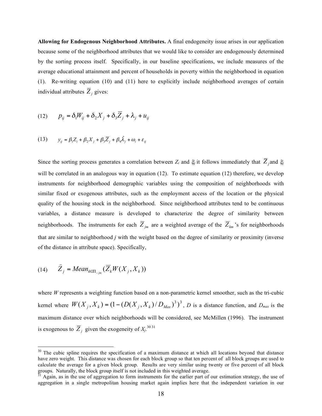**Allowing for Endogenous Neighborhood Attributes.** A final endogeneity issue arises in our application because some of the neighborhood attributes that we would like to consider are endogenously determined by the sorting process itself. Specifically, in our baseline specifications, we include measures of the average educational attainment and percent of households in poverty within the neighborhood in equation (1). Re-writing equation (10) and (11) here to explicitly include neighborhood averages of certain individual attributes *Z j* gives:

$$
(12) \qquad p_{ij} = \delta_1 W_{ij} + \delta_2 X_j + \delta_3 \overline{Z}_j + \lambda_j + u_{ij}
$$

(13) 
$$
y_{ij} = \beta_1 Z_i + \beta_2 X_j + \beta_3 \overline{Z}_i + \beta_4 \hat{\lambda}_i + \omega_i + \varepsilon_{ij}
$$

Since the sorting process generates a correlation between  $Z_i$  and  $\xi_j$  it follows immediately that  $Z_j$  and  $\xi_j$ similar fixed or exogenous attributes, such as the employment access of the location or the physical will be correlated in an analogous way in equation (12). To estimate equation (12) therefore, we develop instruments for neighborhood demographic variables using the composition of neighborhoods with quality of the housing stock in the neighborhood. Since neighborhood attributes tend to be continuous variables, a distance measure is developed to characterize the degree of similarity between neighborhoods. The instruments for each  $\overline{Z}_{im}$  are a weighted average of the  $\overline{Z}_{km}$ 's for neighborhoods that are similar to neighborhood *j* with the weight based on the degree of similarity or proximity (inverse of the distance in attribute space). Specifically,

$$
(14) \qquad \widehat{Z}_j = Mean_{k \in \Pi_{-jm}}(\overline{Z}_k W(X_j, X_k))
$$

where *W* represents a weighting function based on a non-parametric kernel smoother, such as the tri-cubic kernel where  $W(X_j, X_k) = (1 - (D(X_j, X_k)/D_{Max})^3)^3$ , *D* is a distance function, and  $D_{max}$  is the maximum distance over which neighborhoods will be considered, see McMillen (1996). The instrument is exogenous to  $\overline{Z}_j$  given the exogeneity of  $X_j$ .<sup>3031</sup>

<sup>&</sup>lt;sup>30</sup> The cubic spline requires the specification of a maximum distance at which all locations beyond that distance have zero weight. This distance was chosen for each block group so that ten percent of all block groups are used to calculate the average for a given block group. Results are very similar using twenty or five percent of all block groups. Naturally, the block group itself is not included in this weighted average.

Again, as in the use of aggregation to form instruments for the earlier part of our estimation strategy, the use of aggregation in a single metropolitan housing market again implies here that the independent variation in our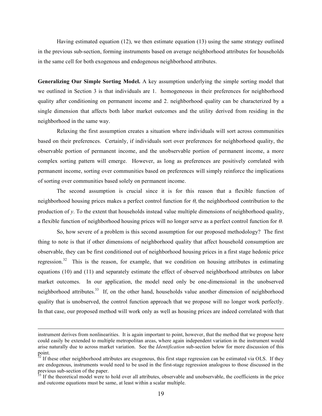Having estimated equation (12), we then estimate equation (13) using the same strategy outlined in the previous sub-section, forming instruments based on average neighborhood attributes for households in the same cell for both exogenous and endogenous neighborhood attributes.

**Generalizing Our Simple Sorting Model.** A key assumption underlying the simple sorting model that we outlined in Section 3 is that individuals are 1. homogeneous in their preferences for neighborhood quality after conditioning on permanent income and 2. neighborhood quality can be characterized by a single dimension that affects both labor market outcomes and the utility derived from residing in the neighborhood in the same way.

Relaxing the first assumption creates a situation where individuals will sort across communities based on their preferences. Certainly, if individuals sort over preferences for neighborhood quality, the observable portion of permanent income, and the unobservable portion of permanent income, a more complex sorting pattern will emerge. However, as long as preferences are positively correlated with permanent income, sorting over communities based on preferences will simply reinforce the implications of sorting over communities based solely on permanent income.

The second assumption is crucial since it is for this reason that a flexible function of neighborhood housing prices makes a perfect control function for  $\theta$ , the neighborhood contribution to the production of *y*. To the extent that households instead value multiple dimensions of neighborhood quality, a flexible function of neighborhood housing prices will no longer serve as a perfect control function for θ.

So, how severe of a problem is this second assumption for our proposed methodology? The first thing to note is that if other dimensions of neighborhood quality that affect household consumption are observable, they can be first conditioned out of neighborhood housing prices in a first stage hedonic price regression.<sup>32</sup> This is the reason, for example, that we condition on housing attributes in estimating equations (10) and (11) and separately estimate the effect of observed neighborhood attributes on labor market outcomes. In our application, the model need only be one-dimensional in the unobserved neighborhood attributes.<sup>33</sup> If, on the other hand, households value another dimension of neighborhood quality that is unobserved, the control function approach that we propose will no longer work perfectly. In that case, our proposed method will work only as well as housing prices are indeed correlated with that

instrument derives from nonlinearities. It is again important to point, however, that the method that we propose here could easily be extended to multiple metropolitan areas, where again independent variation in the instrument would arise naturally due to across market variation. See the *Identification* sub-section below for more discussion of this point.

 $32$  If these other neighborhood attributes are exogenous, this first stage regression can be estimated via OLS. If they are endogenous, instruments would need to be used in the first-stage regression analogous to those discussed in the previous sub-section of the paper.<br><sup>33</sup> If the theoretical model were to hold over all attributes, observable and unobservable, the coefficients in the price

and outcome equations must be same, at least within a scalar multiple.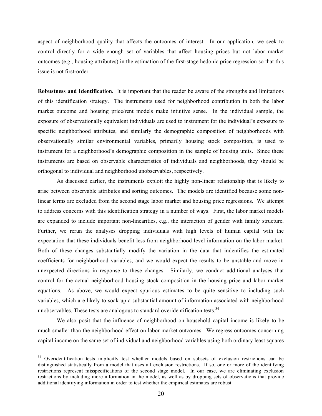aspect of neighborhood quality that affects the outcomes of interest. In our application, we seek to control directly for a wide enough set of variables that affect housing prices but not labor market outcomes (e.g., housing attributes) in the estimation of the first-stage hedonic price regression so that this issue is not first-order.

**Robustness and Identification.** It is important that the reader be aware of the strengths and limitations of this identification strategy. The instruments used for neighborhood contribution in both the labor market outcome and housing price/rent models make intuitive sense. In the individual sample, the exposure of observationally equivalent individuals are used to instrument for the individual's exposure to specific neighborhood attributes, and similarly the demographic composition of neighborhoods with observationally similar environmental variables, primarily housing stock composition, is used to instrument for a neighborhood's demographic composition in the sample of housing units. Since these instruments are based on observable characteristics of individuals and neighborhoods, they should be orthogonal to individual and neighborhood unobservables, respectively.

As discussed earlier, the instruments exploit the highly non-linear relationship that is likely to arise between observable attributes and sorting outcomes. The models are identified because some nonlinear terms are excluded from the second stage labor market and housing price regressions. We attempt to address concerns with this identification strategy in a number of ways. First, the labor market models are expanded to include important non-linearities, e.g., the interaction of gender with family structure. Further, we rerun the analyses dropping individuals with high levels of human capital with the expectation that these individuals benefit less from neighborhood level information on the labor market. Both of these changes substantially modify the variation in the data that indentifies the estimated coefficients for neighborhood variables, and we would expect the results to be unstable and move in unexpected directions in response to these changes. Similarly, we conduct additional analyses that control for the actual neighborhood housing stock composition in the housing price and labor market equations. As above, we would expect spurious estimates to be quite sensitive to including such variables, which are likely to soak up a substantial amount of information associated with neighborhood unobservables. These tests are analogous to standard overidentification tests.<sup>34</sup>

We also posit that the influence of neighborhood on household capital income is likely to be much smaller than the neighborhood effect on labor market outcomes. We regress outcomes concerning capital income on the same set of individual and neighborhood variables using both ordinary least squares

<sup>&</sup>lt;sup>34</sup> Overidentification tests implicitly test whether models based on subsets of exclusion restrictions can be distinguished statistically from a model that uses all exclusion restrictions. If so, one or more of the identifying restrictions represent misspecifications of the second stage model. In our case, we are eliminating exclusion restrictions by including more information in the model, as well as by dropping sets of observations that provide additional identifying information in order to test whether the empirical estimates are robust.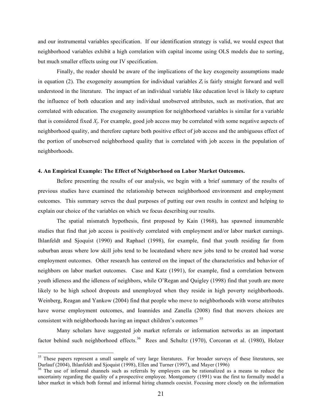and our instrumental variables specification. If our identification strategy is valid, we would expect that neighborhood variables exhibit a high correlation with capital income using OLS models due to sorting, but much smaller effects using our IV specification.

Finally, the reader should be aware of the implications of the key exogeneity assumptions made in equation (2). The exogeneity assumption for individual variables  $Z_i$  is fairly straight forward and well understood in the literature. The impact of an individual variable like education level is likely to capture the influence of both education and any individual unobserved attributes, such as motivation, that are correlated with education. The exogeneity assumption for neighborhood variables is similar for a variable that is considered fixed *Xj*. For example, good job access may be correlated with some negative aspects of neighborhood quality, and therefore capture both positive effect of job access and the ambiguous effect of the portion of unobserved neighborhood quality that is correlated with job access in the population of neighborhoods.

#### **4. An Empirical Example: The Effect of Neighborhood on Labor Market Outcomes.**

Before presenting the results of our analysis, we begin with a brief summary of the results of previous studies have examined the relationship between neighborhood environment and employment outcomes. This summary serves the dual purposes of putting our own results in context and helping to explain our choice of the variables on which we focus describing our results.

The spatial mismatch hypothesis, first proposed by Kain (1968), has spawned innumerable studies that find that job access is positively correlated with employment and/or labor market earnings. Ihlanfeldt and Sjoquist (1990) and Raphael (1998), for example, find that youth residing far from suburban areas where low skill jobs tend to be locatedand where new jobs tend to be created had worse employment outcomes. Other research has centered on the impact of the characteristics and behavior of neighbors on labor market outcomes. Case and Katz (1991), for example, find a correlation between youth idleness and the idleness of neighbors, while O'Regan and Quigley (1998) find that youth are more likely to be high school dropouts and unemployed when they reside in high poverty neighborhoods. Weinberg, Reagan and Yankow (2004) find that people who move to neighborhoods with worse attributes have worse employment outcomes, and Ioannides and Zanella (2008) find that movers choices are consistent with neighborhoods having an impact children's outcomes <sup>35</sup>

Many scholars have suggested job market referrals or information networks as an important factor behind such neighborhood effects.<sup>36</sup> Rees and Schultz (1970), Corcoran et al. (1980), Holzer

<sup>&</sup>lt;sup>35</sup> These papers represent a small sample of very large literatures. For broader surveys of these literatures, see Durlauf (2004), Ihlanfeldt and Sjoquist (1998), Ellen and Turner (1997), and Mayer (1996)

<sup>&</sup>lt;sup>36</sup> The use of informal channels such as referrals by employers can be rationalized as a means to reduce the uncertainty regarding the quality of a prospective employee. Montgomery (1991) was the first to formally model a labor market in which both formal and informal hiring channels coexist. Focusing more closely on the information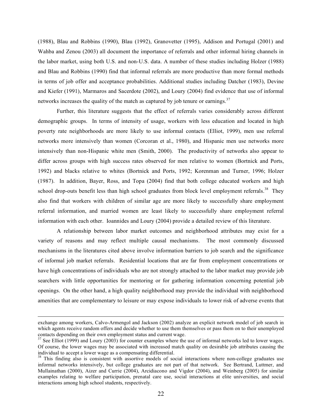(1988), Blau and Robbins (1990), Blau (1992), Granovetter (1995), Addison and Portugal (2001) and Wahba and Zenou (2003) all document the importance of referrals and other informal hiring channels in the labor market, using both U.S. and non-U.S. data. A number of these studies including Holzer (1988) and Blau and Robbins (1990) find that informal referrals are more productive than more formal methods in terms of job offer and acceptance probabilities. Additional studies including Datcher (1983), Devine and Kiefer (1991), Marmaros and Sacerdote (2002), and Loury (2004) find evidence that use of informal networks increases the quality of the match as captured by job tenure or earnings. $37$ 

Further, this literature suggests that the effect of referrals varies considerably across different demographic groups. In terms of intensity of usage, workers with less education and located in high poverty rate neighborhoods are more likely to use informal contacts (Elliot, 1999), men use referral networks more intensively than women (Corcoran et al., 1980), and Hispanic men use networks more intensively than non-Hispanic white men (Smith, 2000). The productivity of networks also appear to differ across groups with high success rates observed for men relative to women (Bortnick and Ports, 1992) and blacks relative to whites (Bortnick and Ports, 1992; Korenman and Turner, 1996; Holzer (1987). In addition, Bayer, Ross, and Topa (2004) find that both college educated workers and high school drop-outs benefit less than high school graduates from block level employment referrals.<sup>38</sup> They also find that workers with children of similar age are more likely to successfully share employment referral information, and married women are least likely to successfully share employment referral information with each other. Ioannides and Loury (2004) provide a detailed review of this literature.

A relationship between labor market outcomes and neighborhood attributes may exist for a variety of reasons and may reflect multiple causal mechanisms. The most commonly discussed mechanisms in the literatures cited above involve information barriers to job search and the significance of informal job market referrals. Residential locations that are far from employment concentrations or have high concentrations of individuals who are not strongly attached to the labor market may provide job searchers with little opportunities for mentoring or for gathering information concerning potential job openings. On the other hand, a high quality neighborhood may provide the individual with neighborhood amenities that are complementary to leisure or may expose individuals to lower risk of adverse events that

exchange among workers, Calvo-Armengol and Jackson (2002) analyze an explicit network model of job search in which agents receive random offers and decide whether to use them themselves or pass them on to their unemployed contacts depending on their own employment status and current wage.<br><sup>37</sup> See Elliot (1999) and Loury (2003) for counter examples where the use of informal networks led to lower wages.

Of course, the lower wages may be associated with increased match quality on desirable job attributes causing the

<sup>&</sup>lt;sup>38</sup> This finding also is consistent with assortive models of social interactions where non-college graduates use informal networks intensively, but college graduates are not part of that network. See Bertrand, Luttmer, and Mullainathan (2000), Aizer and Currie (2004), Arcidiacono and Vigdor (2004), and Weinberg (2005) for similar examples relating to welfare participation, prenatal care use, social interactions at elite universities, and social interactions among high school students, respectively.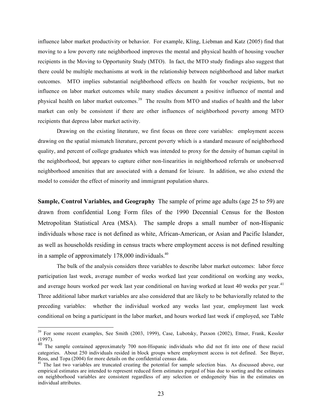influence labor market productivity or behavior. For example, Kling, Liebman and Katz (2005) find that moving to a low poverty rate neighborhood improves the mental and physical health of housing voucher recipients in the Moving to Opportunity Study (MTO). In fact, the MTO study findings also suggest that there could be multiple mechanisms at work in the relationship between neighborhood and labor market outcomes. MTO implies substantial neighborhood effects on health for voucher recipients, but no influence on labor market outcomes while many studies document a positive influence of mental and physical health on labor market outcomes.<sup>39</sup> The results from MTO and studies of health and the labor market can only be consistent if there are other influences of neighborhood poverty among MTO recipients that depress labor market activity.

Drawing on the existing literature, we first focus on three core variables: employment access drawing on the spatial mismatch literature, percent poverty which is a standard measure of neighborhood quality, and percent of college graduates which was intended to proxy for the density of human capital in the neighborhood, but appears to capture either non-linearities in neighborhood referrals or unobserved neighborhood amenities that are associated with a demand for leisure. In addition, we also extend the model to consider the effect of minority and immigrant population shares.

**Sample, Control Variables, and Geography** The sample of prime age adults (age 25 to 59) are drawn from confidential Long Form files of the 1990 Decennial Census for the Boston Metropolitan Statistical Area (MSA). The sample drops a small number of non-Hispanic individuals whose race is not defined as white, African-American, or Asian and Pacific Islander, as well as households residing in census tracts where employment access is not defined resulting in a sample of approximately 178,000 individuals.<sup>40</sup>

The bulk of the analysis considers three variables to describe labor market outcomes: labor force participation last week, average number of weeks worked last year conditional on working any weeks, and average hours worked per week last year conditional on having worked at least 40 weeks per vear.<sup>41</sup> Three additional labor market variables are also considered that are likely to be behaviorally related to the preceding variables: whether the individual worked any weeks last year, employment last week conditional on being a participant in the labor market, and hours worked last week if employed, see Table

<sup>&</sup>lt;sup>39</sup> For some recent examples, See Smith (2003, 1999), Case, Lubotsky, Paxson (2002), Ettner, Frank, Kessler (1997).

<sup>&</sup>lt;sup>40</sup> The sample contained approximately 700 non-Hispanic individuals who did not fit into one of these racial categories. About 250 individuals resided in block groups where employment access is not defined. See Bayer, Ross, and Topa (2004) for more details on the confidential census data.

<sup>&</sup>lt;sup>41</sup> The last two variables are truncated creating the potential for sample selection bias. As discussed above, our empirical estimates are intended to represent reduced form estimates purged of bias due to sorting and the estimates on neighborhood variables are consistent regardless of any selection or endogeneity bias in the estimates on individual attributes.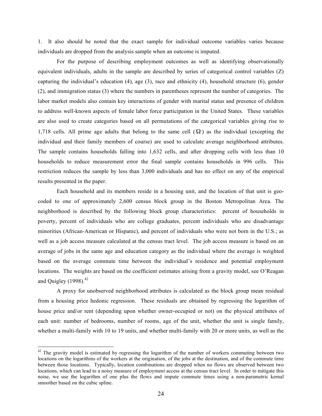1. It also should be noted that the exact sample for individual outcome variables varies because individuals are dropped from the analysis sample when an outcome is imputed.

For the purpose of describing employment outcomes as well as identifying observationally equivalent individuals, adults in the sample are described by series of categorical control variables (Z) capturing the individual's education (4), age (3), race and ethnicity (4), household structure (6), gender (2), and immigration status (3) where the numbers in parentheses represent the number of categories. The labor market models also contain key interactions of gender with marital status and presence of children to address well-known aspects of female labor force participation in the United States. These variables are also used to create categories based on all permutations of the categorical variables giving rise to 1,718 cells. All prime age adults that belong to the same cell  $(\Omega)$  as the individual (excepting the individual and their family members of course) are used to calculate average neighborhood attributes. The sample contains households falling into 1,632 cells, and after dropping cells with less than 10 households to reduce measurement error the final sample contains households in 996 cells. This restriction reduces the sample by less than 3,000 individuals and has no effect on any of the empirical results presented in the paper.

Each household and its members reside in a housing unit, and the location of that unit is geocoded to one of approximately 2,600 census block group in the Boston Metropolitan Area. The neighborhood is described by the following block group characteristics: percent of households in poverty, percent of individuals who are college graduates, percent individuals who are disadvantage minorities (African-American or Hispanic), and percent of individuals who were not born in the U.S.; as well as a job access measure calculated at the census tract level. The job access measure is based on an average of jobs in the same age and education category as the individual where the average is weighted based on the average commute time between the individual's residence and potential employment locations. The weights are based on the coefficient estimates arising from a gravity model, see O'Reagan and Quigley  $(1998)^{42}$ 

A proxy for unobserved neighborhood attributes is calculated as the block group mean residual from a housing price hedonic regression. These residuals are obtained by regressing the logarithm of house price and/or rent (depending upon whether owner-occupied or not) on the physical attributes of each unit: number of bedrooms, number of rooms, age of the unit, whether the unit is single family, whether a multi-family with 10 to 19 units, and whether multi-family with 20 or more units, as well as the

<sup>&</sup>lt;sup>42</sup> The gravity model is estimated by regressing the logarithm of the number of workers commuting between two locations on the logarithms of the workers at the origination, of the jobs at the destination, and of the commute time between those locations. Typically, location combinations are dropped when no flows are observed between two locations, which can lead to a noisy measure of employment access at the census tract level. In order to mitigate this noise, we use the logarithm of one plus the flows and impute commute times using a non-parametric kernal smoother based on the cubic spline.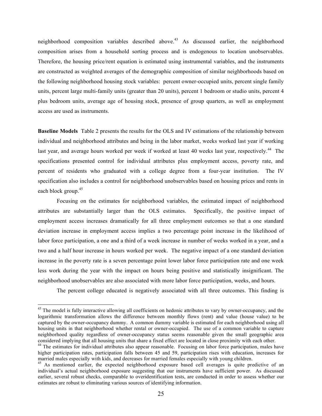neighborhood composition variables described above.<sup>43</sup> As discussed earlier, the neighborhood composition arises from a household sorting process and is endogenous to location unobservables. Therefore, the housing price/rent equation is estimated using instrumental variables, and the instruments are constructed as weighted averages of the demographic composition of similar neighborhoods based on the following neighborhood housing stock variables: percent owner-occupied units, percent single family units, percent large multi-family units (greater than 20 units), percent 1 bedroom or studio units, percent 4 plus bedroom units, average age of housing stock, presence of group quarters, as well as employment access are used as instruments.

**Baseline Models** Table 2 presents the results for the OLS and IV estimations of the relationship between individual and neighborhood attributes and being in the labor market, weeks worked last year if working last year, and average hours worked per week if worked at least 40 weeks last year, respectively.<sup>44</sup> The specifications presented control for individual attributes plus employment access, poverty rate, and percent of residents who graduated with a college degree from a four-year institution. The IV specification also includes a control for neighborhood unobservables based on housing prices and rents in each block group.<sup>45</sup>

Focusing on the estimates for neighborhood variables, the estimated impact of neighborhood attributes are substantially larger than the OLS estimates. Specifically, the positive impact of employment access increases dramatically for all three employment outcomes so that a one standard deviation increase in employment access implies a two percentage point increase in the likelihood of labor force participation, a one and a third of a week increase in number of weeks worked in a year, and a two and a half hour increase in hours worked per week. The negative impact of a one standard deviation increase in the poverty rate is a seven percentage point lower labor force participation rate and one week less work during the year with the impact on hours being positive and statistically insignificant. The neighborhood unobservables are also associated with more labor force participation, weeks, and hours.

The percent college educated is negatively associated with all three outcomes. This finding is

<sup>&</sup>lt;sup>43</sup> The model is fully interactive allowing all coefficients on hedonic attributes to vary by owner-occupancy, and the logarithmic transformation allows the difference between monthly flows (rent) and value (house value) to be captured by the owner-occupancy dummy. A common dummy variable is estimated for each neighborhood using all housing units in that neighborhood whether rental or owner-occupied. The use of a common variable to capture neighborhood quality regardless of owner-occupancy status seems reasonable given the small geographic area considered implying that all housing units that share a fixed effect are located in close proximity with each other

<sup>&</sup>lt;sup>44</sup> The estimates for individual attributes also appear reasonable. Focusing on labor force participation, males have higher participation rates, participation falls between 45 and 59, participation rises with education, increases for married males especially with kids, and decreases for married females especially with young children.

<sup>&</sup>lt;sup>45</sup> As mentioned earlier, the expected neighborhood exposure based cell averages is quite predictive of an individual's actual neighborhood exposure suggesting that our instruments have sufficient power. As discussed earlier, several robust checks, comparable to overidentification tests, are conducted in order to assess whether our estimates are robust to eliminating various sources of identifying information.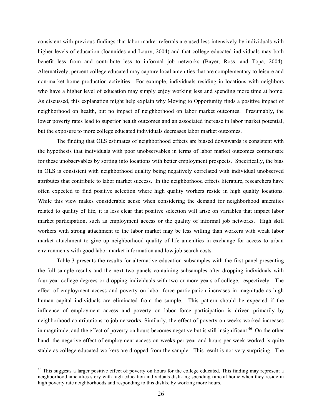consistent with previous findings that labor market referrals are used less intensively by individuals with higher levels of education (Ioannides and Loury, 2004) and that college educated individuals may both benefit less from and contribute less to informal job networks (Bayer, Ross, and Topa, 2004). Alternatively, percent college educated may capture local amenities that are complementary to leisure and non-market home production activities. For example, individuals residing in locations with neighbors who have a higher level of education may simply enjoy working less and spending more time at home. As discussed, this explanation might help explain why Moving to Opportunity finds a positive impact of neighborhood on health, but no impact of neighborhood on labor market outcomes. Presumably, the lower poverty rates lead to superior health outcomes and an associated increase in labor market potential, but the exposure to more college educated individuals decreases labor market outcomes.

The finding that OLS estimates of neighborhood effects are biased downwards is consistent with the hypothesis that individuals with poor unobservables in terms of labor market outcomes compensate for these unobservables by sorting into locations with better employment prospects. Specifically, the bias in OLS is consistent with neighborhood quality being negatively correlated with individual unobserved attributes that contribute to labor market success. In the neighborhood effects literature, researchers have often expected to find positive selection where high quality workers reside in high quality locations. While this view makes considerable sense when considering the demand for neighborhood amenities related to quality of life, it is less clear that positive selection will arise on variables that impact labor market participation, such as employment access or the quality of informal job networks. High skill workers with strong attachment to the labor market may be less willing than workers with weak labor market attachment to give up neighborhood quality of life amenities in exchange for access to urban environments with good labor market information and low job search costs.

Table 3 presents the results for alternative education subsamples with the first panel presenting the full sample results and the next two panels containing subsamples after dropping individuals with four-year college degrees or dropping individuals with two or more years of college, respectively. The effect of employment access and poverty on labor force participation increases in magnitude as high human capital individuals are eliminated from the sample. This pattern should be expected if the influence of employment access and poverty on labor force participation is driven primarily by neighborhood contributions to job networks. Similarly, the effect of poverty on weeks worked increases in magnitude, and the effect of poverty on hours becomes negative but is still insignificant.<sup>46</sup> On the other hand, the negative effect of employment access on weeks per year and hours per week worked is quite stable as college educated workers are dropped from the sample. This result is not very surprising. The

 $46$  This suggests a larger positive effect of poverty on hours for the college educated. This finding may represent a neighborhood amenities story with high education individuals disliking spending time at home when they reside in high poverty rate neighborhoods and responding to this dislike by working more hours.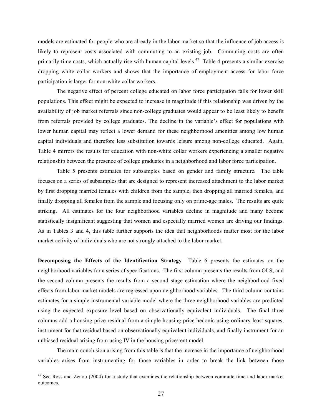models are estimated for people who are already in the labor market so that the influence of job access is likely to represent costs associated with commuting to an existing job. Commuting costs are often primarily time costs, which actually rise with human capital levels.<sup>47</sup> Table 4 presents a similar exercise dropping white collar workers and shows that the importance of employment access for labor force participation is larger for non-white collar workers.

The negative effect of percent college educated on labor force participation falls for lower skill populations. This effect might be expected to increase in magnitude if this relationship was driven by the availability of job market referrals since non-college graduates would appear to be least likely to benefit from referrals provided by college graduates. The decline in the variable's effect for populations with lower human capital may reflect a lower demand for these neighborhood amenities among low human capital individuals and therefore less substitution towards leisure among non-college educated. Again, Table 4 mirrors the results for education with non-white collar workers experiencing a smaller negative relationship between the presence of college graduates in a neighborhood and labor force participation.

Table 5 presents estimates for subsamples based on gender and family structure. The table focuses on a series of subsamples that are designed to represent increased attachment to the labor market by first dropping married females with children from the sample, then dropping all married females, and finally dropping all females from the sample and focusing only on prime-age males. The results are quite striking. All estimates for the four neighborhood variables decline in magnitude and many become statistically insignificant suggesting that women and especially married women are driving our findings. As in Tables 3 and 4, this table further supports the idea that neighborhoods matter most for the labor market activity of individuals who are not strongly attached to the labor market.

**Decomposing the Effects of the Identification Strategy** Table 6 presents the estimates on the neighborhood variables for a series of specifications. The first column presents the results from OLS, and the second column presents the results from a second stage estimation where the neighborhood fixed effects from labor market models are regressed upon neighborhood variables. The third column contains estimates for a simple instrumental variable model where the three neighborhood variables are predicted using the expected exposure level based on observationally equivalent individuals. The final three columns add a housing price residual from a simple housing price hedonic using ordinary least squares, instrument for that residual based on observationally equivalent individuals, and finally instrument for an unbiased residual arising from using IV in the housing price/rent model.

The main conclusion arising from this table is that the increase in the importance of neighborhood variables arises from instrumenting for those variables in order to break the link between those

 $47$  See Ross and Zenou (2004) for a study that examines the relationship between commute time and labor market outcomes.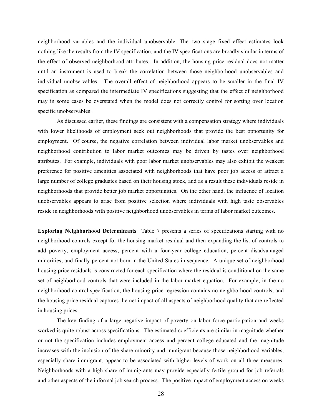neighborhood variables and the individual unobservable. The two stage fixed effect estimates look nothing like the results from the IV specification, and the IV specifications are broadly similar in terms of the effect of observed neighborhood attributes. In addition, the housing price residual does not matter until an instrument is used to break the correlation between those neighborhood unobservables and individual unobservables. The overall effect of neighborhood appears to be smaller in the final IV specification as compared the intermediate IV specifications suggesting that the effect of neighborhood may in some cases be overstated when the model does not correctly control for sorting over location specific unobservables.

As discussed earlier, these findings are consistent with a compensation strategy where individuals with lower likelihoods of employment seek out neighborhoods that provide the best opportunity for employment. Of course, the negative correlation between individual labor market unobservables and neighborhood contribution to labor market outcomes may be driven by tastes over neighborhood attributes. For example, individuals with poor labor market unobservables may also exhibit the weakest preference for positive amenities associated with neighborhoods that have poor job access or attract a large number of college graduates based on their housing stock, and as a result these individuals reside in neighborhoods that provide better job market opportunities. On the other hand, the influence of location unobservables appears to arise from positive selection where individuals with high taste observables reside in neighborhoods with positive neighborhood unobservables in terms of labor market outcomes.

**Exploring Neighborhood Determinants** Table 7 presents a series of specifications starting with no neighborhood controls except for the housing market residual and then expanding the list of controls to add poverty, employment access, percent with a four-year college education, percent disadvantaged minorities, and finally percent not born in the United States in sequence. A unique set of neighborhood housing price residuals is constructed for each specification where the residual is conditional on the same set of neighborhood controls that were included in the labor market equation. For example, in the no neighborhood control specification, the housing price regression contains no neighborhood controls, and the housing price residual captures the net impact of all aspects of neighborhood quality that are reflected in housing prices.

The key finding of a large negative impact of poverty on labor force participation and weeks worked is quite robust across specifications. The estimated coefficients are similar in magnitude whether or not the specification includes employment access and percent college educated and the magnitude increases with the inclusion of the share minority and immigrant because those neighborhood variables, especially share immigrant, appear to be associated with higher levels of work on all three measures. Neighborhoods with a high share of immigrants may provide especially fertile ground for job referrals and other aspects of the informal job search process. The positive impact of employment access on weeks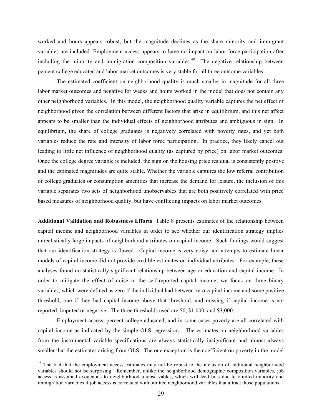worked and hours appears robust, but the magnitude declines as the share minority and immigrant variables are included. Employment access appears to have no impact on labor force participation after including the minority and immigration composition variables.<sup>48</sup> The negative relationship between percent college educated and labor market outcomes is very stable for all three outcome variables.

The estimated coefficient on neighborhood quality is much smaller in magnitude for all three labor market outcomes and negative for weeks and hours worked in the model that does not contain any other neighborhood variables. In this model, the neighborhood quality variable captures the net effect of neighborhood given the correlation between different factors that arise in equilibrium, and this net affect appears to be smaller than the individual effects of neighborhood attributes and ambiguous in sign. In equilibrium, the share of college graduates is negatively correlated with poverty rates, and yet both variables reduce the rate and intensity of labor force participation. In practice, they likely cancel out leading to little net influence of neighborhood quality (as captured by price) on labor market outcomes. Once the college degree variable is included, the sign on the housing price residual is consistently positive and the estimated magnitudes are quite stable. Whether the variable captures the low referral contribution of college graduates or consumption amenities that increase the demand for leisure, the inclusion of this variable separates two sets of neighborhood unobservables that are both positively correlated with price based measures of neighborhood quality, but have conflicting impacts on labor market outcomes.

**Additional Validation and Robustness Efforts** Table 8 presents estimates of the relationship between capital income and neighborhood variables in order to see whether our identification strategy implies unrealistically large impacts of neighborhood attributes on capital income. Such findings would suggest that our identification strategy is flawed. Capital income is very noisy and attempts to estimate linear models of capital income did not provide credible estimates on individual attributes. For example, these analyses found no statistically significant relationship between age or education and capital income. In order to mitigate the effect of noise in the self-reported capital income, we focus on three binary variables, which were defined as zero if the individual had between zero capital income and some positive threshold, one if they had capital income above that threshold, and missing if capital income is not reported, imputed or negative. The three thresholds used are \$0, \$1,000, and \$3,000.

Employment access, percent college educated, and in some cases poverty are all correlated with capital income as indicated by the simple OLS regressions. The estimates on neighborhood variables from the instrumental variable specifications are always statistically insignificant and almost always smaller that the estimates arising from OLS. The one exception is the coefficient on poverty in the model

<sup>&</sup>lt;sup>48</sup> The fact that the employment access estimates may not be robust to the inclusion of additional neighborhood variables should not be surprising. Remember, unlike the neighborhood demographic composition variables, job access is assumed exogenous to neighborhood unobservables, which will lead bias due to omitted minority and immigration variables if job access is correlated with omitted neighborhood variables that attract those populations.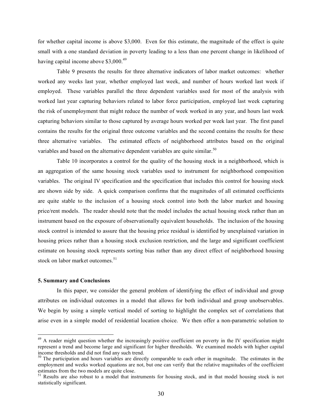for whether capital income is above \$3,000. Even for this estimate, the magnitude of the effect is quite small with a one standard deviation in poverty leading to a less than one percent change in likelihood of having capital income above \$3,000.<sup>49</sup>

Table 9 presents the results for three alternative indicators of labor market outcomes: whether worked any weeks last year, whether employed last week, and number of hours worked last week if employed. These variables parallel the three dependent variables used for most of the analysis with worked last year capturing behaviors related to labor force participation, employed last week capturing the risk of unemployment that might reduce the number of week worked in any year, and hours last week capturing behaviors similar to those captured by average hours worked per week last year. The first panel contains the results for the original three outcome variables and the second contains the results for these three alternative variables. The estimated effects of neighborhood attributes based on the original variables and based on the alternative dependent variables are quite similar.<sup>50</sup>

Table 10 incorporates a control for the quality of the housing stock in a neighborhood, which is an aggregation of the same housing stock variables used to instrument for neighborhood composition variables. The original IV specification and the specification that includes this control for housing stock are shown side by side. A quick comparison confirms that the magnitudes of all estimated coefficients are quite stable to the inclusion of a housing stock control into both the labor market and housing price/rent models. The reader should note that the model includes the actual housing stock rather than an instrument based on the exposure of observationally equivalent households. The inclusion of the housing stock control is intended to assure that the housing price residual is identified by unexplained variation in housing prices rather than a housing stock exclusion restriction, and the large and significant coefficient estimate on housing stock represents sorting bias rather than any direct effect of neighborhood housing stock on labor market outcomes.<sup>51</sup>

#### **5. Summary and Conclusions**

In this paper, we consider the general problem of identifying the effect of individual and group attributes on individual outcomes in a model that allows for both individual and group unobservables. We begin by using a simple vertical model of sorting to highlight the complex set of correlations that arise even in a simple model of residential location choice. We then offer a non-parametric solution to

<sup>&</sup>lt;sup>49</sup> A reader might question whether the increasingly positive coefficient on poverty in the IV specification might represent a trend and become large and significant for higher thresholds. We examined models with higher capital income thresholds and did not find any such trend.

 $50$  The participation and hours variables are directly comparable to each other in magnitude. The estimates in the employment and weeks worked equations are not, but one can verify that the relative magnitudes of the coefficient estimates from the two models are quite close.

<sup>&</sup>lt;sup>51</sup> Results are also robust to a model that instruments for housing stock, and in that model housing stock is not statistically significant.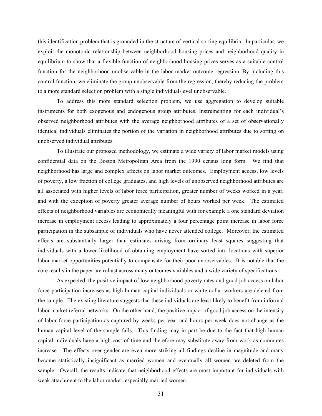this identification problem that is grounded in the structure of vertical sorting equilibria. In particular, we exploit the monotonic relationship between neighborhood housing prices and neighborhood quality in equilibrium to show that a flexible function of neighborhood housing prices serves as a suitable control function for the neighborhood unobservable in the labor market outcome regression. By including this control function, we eliminate the group unobservable from the regression, thereby reducing the problem to a more standard selection problem with a single individual-level unobservable.

To address this more standard selection problem, we use aggregation to develop suitable instruments for both exogenous and endogenous group attributes. Instrumenting for each individual's observed neighborhood attributes with the average neighborhood attributes of a set of observationally identical individuals eliminates the portion of the variation in neighborhood attributes due to sorting on unobserved individual attributes.

To illustrate our proposed methodology, we estimate a wide variety of labor market models using confidential data on the Boston Metropolitan Area from the 1990 census long form. We find that neighborhood has large and complex affects on labor market outcomes. Employment access, low levels of poverty, a low fraction of college graduates, and high levels of unobserved neighborhood attributes are all associated with higher levels of labor force participation, greater number of weeks worked in a year, and with the exception of poverty greater average number of hours worked per week. The estimated effects of neighborhood variables are economically meaningful with for example a one standard deviation increase in employment access leading to approximately a four percentage point increase in labor force participation in the subsample of individuals who have never attended college. Moreover, the estimated effects are substantially larger than estimates arising from ordinary least squares suggesting that individuals with a lower likelihood of obtaining employment have sorted into locations with superior labor market opportunities potentially to compensate for their poor unobservables. It is notable that the core results in the paper are robust across many outcomes variables and a wide variety of specifications.

As expected, the positive impact of low neighborhood poverty rates and good job access on labor force participation increases as high human capital individuals or white collar workers are deleted from the sample. The existing literature suggests that these individuals are least likely to benefit from informal labor market referral networks. On the other hand, the positive impact of good job access on the intensity of labor force participation as captured by weeks per year and hours per week does not change as the human capital level of the sample falls. This finding may in part be due to the fact that high human capital individuals have a high cost of time and therefore may substitute away from work as commutes increase. The effects over gender are even more striking all findings decline in magnitude and many become statistically insignificant as married women and eventually all women are deleted from the sample. Overall, the results indicate that neighborhood effects are most important for individuals with weak attachment to the labor market, especially married women.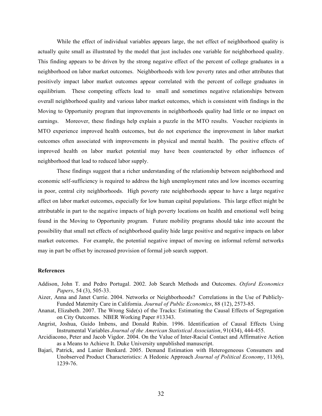While the effect of individual variables appears large, the net effect of neighborhood quality is actually quite small as illustrated by the model that just includes one variable for neighborhood quality. This finding appears to be driven by the strong negative effect of the percent of college graduates in a neighborhood on labor market outcomes. Neighborhoods with low poverty rates and other attributes that positively impact labor market outcomes appear correlated with the percent of college graduates in equilibrium. These competing effects lead to small and sometimes negative relationships between overall neighborhood quality and various labor market outcomes, which is consistent with findings in the Moving to Opportunity program that improvements in neighborhoods quality had little or no impact on earnings. Moreover, these findings help explain a puzzle in the MTO results. Voucher recipients in MTO experience improved health outcomes, but do not experience the improvement in labor market outcomes often associated with improvements in physical and mental health. The positive effects of improved health on labor market potential may have been counteracted by other influences of neighborhood that lead to reduced labor supply.

These findings suggest that a richer understanding of the relationship between neighborhood and economic self-sufficiency is required to address the high unemployment rates and low incomes occurring in poor, central city neighborhoods. High poverty rate neighborhoods appear to have a large negative affect on labor market outcomes, especially for low human capital populations. This large effect might be attributable in part to the negative impacts of high poverty locations on health and emotional well being found in the Moving to Opportunity program. Future mobility programs should take into account the possibility that small net effects of neighborhood quality hide large positive and negative impacts on labor market outcomes. For example, the potential negative impact of moving on informal referral networks may in part be offset by increased provision of formal job search support.

#### **References**

- Addison, John T. and Pedro Portugal. 2002. Job Search Methods and Outcomes. *Oxford Economics Papers*, 54 (3), 505-33.
- Aizer, Anna and Janet Currie. 2004. Networks or Neighborhoods? Correlations in the Use of Publicly-Funded Maternity Care in California. *Journal of Public Economics*, 88 (12), 2573-85.
- Ananat, Elizabeth. 2007. The Wrong Side(s) of the Tracks: Estimating the Causal Effects of Segregation on City Outcomes. NBER Working Paper #13343.
- Angrist, Joshua, Guido Imbens, and Donald Rubin. 1996. Identification of Causal Effects Using Instrumental Variables *Journal of the American Statistical Association*, 91(434), 444-455.
- Arcidiacono, Peter and Jacob Vigdor. 2004. On the Value of Inter-Racial Contact and Affirmative Action as a Means to Achieve It. Duke University unpublished manuscript.
- Bajari, Patrick, and Lanier Benkard. 2005. Demand Estimation with Heterogeneous Consumers and Unobserved Product Characteristics: A Hedonic Approach *Journal of Political Economy*, 113(6), 1239-76.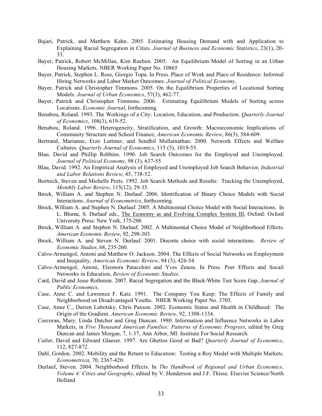- Bajari, Patrick, and Matthew Kahn. 2005. Estimating Housing Demand with and Application to Explaining Racial Segregation in Cities. *Journal of Business and Economic Statistics*, 23(1), 20- 33.
- Bayer, Patrick, Robert McMillan, Kim Rueben. 2005. An Equilibrium Model of Sorting in an Urban Housing Markets. NBER Working Paper No. 10865
- Bayer, Patrick, Stephen L. Ross, Giorgio Topa. In Press. Place of Work and Place of Residence: Informal Hiring Networks and Labor Market Outcomes. *Journal of Political Economy*,
- Bayer, Patrick and Christopher Timmons. 2005. On the Equilibrium Properties of Locational Sorting Models. *Journal of Urban Economics*, 57(3), 462-77.
- Bayer, Patrick and Christopher Timmons. 2006. Estimating Equilibrium Models of Sorting across Locations. *Economic Journal*, forthcoming.
- Benabou, Roland. 1993. The Workings of a City: Location, Education, and Production. *Quarterly Journal of Economics*, 108(3), 619-52.
- Benabou, Roland. 1996. Heterogeneity, Stratification, and Growth: Macroeconomic Implications of Community Structure and School Finance, *American Economic Review*, 86(3), 584-609.
- Bertrand, Marianne, Erzo Luttmer, and Sendhil Mullainathan. 2000. Network Effects and Welfare Cultures. *Quarterly Journal of Economics*, 115 (3), 1019-55.
- Blau, David and Phillip Robbins. 1990. Job Search Outcomes for the Employed and Unemployed. *Journal of Political Economy*, 98 (3), 637-55
- Blau, David. 1992. An Empirical Analysis of Employed and Unemployed Job Search Behavior, *Industrial and Labor Relations Review*, 45, 738-52.
- Bortnick, Steven and Michelle Ports. 1992. Job Search Methods and Results: Tracking the Unemployed, *Monthly Labor Review*, 115(12), 29-35.
- Brock, William A. and Stephen N. Durlauf. 2006. Identification of Binary Choice Models with Social Interactions. *Journal of Econometrics*, forthcoming.
- Brock, William A. and Stephen N. Durlauf. 2005. A Multinomial Choice Model with Social Interactions. In L. Blume, S. Durlauf eds., The Economy as and Evolving Complex System III, Oxford: Oxford University Press: New York, 175-206
- Brock, William A. and Stephen N. Durlauf. 2002. A Multinomial Choice Model of Neighborhood Effects. *American Economic Review*, 92, 298-303.
- Brock, William A. and Steven N. Durlauf. 2001. Discrete choice with social interactions. *Review of Economic Studies*, 68, 235-260.
- Calvo-Armengol, Antoni and Matthew O. Jackson. 2004. The Effects of Social Networks on Employment and Inequality, *American Economic Review*, 94 (3), 426-54.
- Calvo-Armengol, Antoni, Eleonora Patacchini and Yves Zenou. In Press. Peer Effects and Socail Networks in Education, *Review of Economic Studies*.
- Card, David and Jesse Rothstein. 2007. Racial Segregation and the Black-White Test Score Gap, *Journal of Public Economics*,
- Case, Anne C. and Lawrence F. Katz. 1991. The Company You Keep: The Effects of Family and Neighborhood on Disadvantaged Youths. NBER Working Paper No. 3705.
- Case, Anne C., Darren Lubotsky, Chris Paxson. 2002. Economic Status and Health in Childhood: The Origin of the Gradient. *American Economic Review*, 92, 1308-1334.
- Corcoran, Mary, Linda Datcher and Greg Duncan. 1980. Information and Influence Networks in Labor Markets, in *Five Thousand American Families: Patterns of Economic Progress*, edited by Greg Duncan and James Morgan, 7, 1-37, Ann Arbor, MI: Institute For Social Research.
- Cutler, David and Edward Glaeser. 1997. Are Ghettos Good or Bad? *Quarterly Journal of Economics*, 112, 827-872.
- Dahl, Gordon. 2002. Mobility and the Return to Education: Testing a Roy Model with Multiple Markets. *Econometrica*, 70, 2367-420.
- Durlauf, Steven. 2004. Neighborhood Effects. In *The Handbook of Regional and Urban Economics, Volume 4: Cities and Geography*, edited by V. Henderson and J.F. Thisse. Elsevier Science/North Holland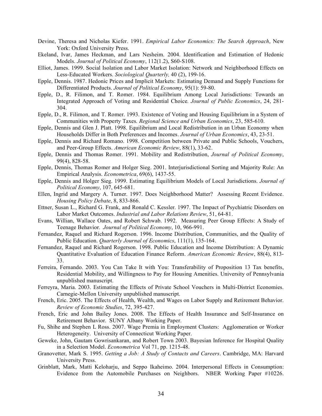- Devine, Theresa and Nicholas Kiefer. 1991. *Empirical Labor Economics: The Search Approach*, New York: Oxford University Press.
- Ekeland, Ivar, James Heckman, and Lars Nesheim. 2004. Identification and Estimation of Hedonic Models. *Journal of Political Economy*, 112(1.2), S60-S108.
- Elliot, James. 1999. Social Isolation and Labor Market Isolation: Network and Neighborhood Effects on Less-Educated Workers. *Sociological Quarterly,* 40 (2), 199-16.
- Epple, Dennis. 1987. Hedonic Prices and Implicit Markets: Estimating Demand and Supply Functions for Differentiated Products. *Journal of Political Economy*, 95(1): 59-80.
- Epple, D., R. Filimon, and T. Romer. 1984. Equilibrium Among Local Jurisdictions: Towards an Integrated Approach of Voting and Residential Choice*. Journal of Public Economics*, 24, 281- 304.
- Epple, D., R. Filimon, and T. Romer. 1993. Existence of Voting and Housing Equilibrium in a System of Communities with Property Taxes*. Regional Science and Urban Economics*, 23, 585-610.
- Epple, Dennis and Glen J. Platt. 1998. Equilibrium and Local Redistribution in an Urban Economy when Households Differ in Both Preferences and Incomes. *Journal of Urban Economics*, 43, 23-51.
- Epple, Dennis and Richard Romano. 1998. Competition between Private and Public Schools, Vouchers, and Peer-Group Effects. *American Economic Review*, 88(1), 33-62.
- Epple, Dennis and Thomas Romer. 1991. Mobility and Redistribution, *Journal of Political Economy*, 99(4), 828-58.
- Epple, Dennis, Thomas Romer and Holger Sieg. 2001. Interjurisdictional Sorting and Majority Rule: An Empirical Analysis. *Econometrica*, 69(6), 1437-55.
- Epple, Dennis and Holger Sieg. 1999. Estimating Equilibrium Models of Local Jurisdictions. *Journal of Political Economy*, 107, 645-681.
- Ellen, Ingrid and Margery A. Turner. 1997. Does Neighborhood Matter? Assessing Recent Evidence. *Housing Policy Debate*, 8, 833-866.
- Ettner, Susan L., Richard G. Frank, and Ronald C. Kessler. 1997. The Impact of Psychiatric Disorders on Labor Market Outcomes. *Industrial and Labor Relations Review*, 51, 64-81.
- Evans, Willian, Wallace Oates, and Robert Schwab. 1992. Measuring Peer Group Effects: A Study of Teenage Behavior. *Journal of Political Economy*, 10, 966-991.
- Fernandez, Raquel and Richard Rogerson. 1996. Income Distribution, Communities, and the Quality of Public Education. *Quarterly Journal of Economics*, 111(1), 135-164.
- Fernandez, Raquel and Richard Rogerson. 1998. Public Education and Income Distribution: A Dynamic Quantitative Evaluation of Education Finance Reform. *American Economic Review*, 88(4), 813- 33.
- Ferreira, Fernando. 2003. You Can Take It with You: Transferability of Proposition 13 Tax benefits, Residential Mobility, and Willingness to Pay for Housing Amenities. University of Pennsylvania unpublished manuscript.
- Ferreyra, Maria. 2003. Estimating the Effects of Private School Vouchers in Multi-District Economies. Carnegie-Mellon University unpublished manuscript.
- French, Eric. 2005. The Effects of Health, Wealth, and Wages on Labor Supply and Retirement Behavior. *Review of Economic Studies*, 72, 395-427.
- French, Eric and John Bailey Jones. 2008. The Effects of Health Insurance and Self-Insurance on Retirement Behavior. SUNY Albany Working Paper.
- Fu, Shihe and Stephen L Ross. 2007. Wage Premia in Employment Clusters: Agglomeration or Worker Heterogeneity. University of Connecticut Working Paper.
- Geweke, John, Gautam Gowrisankaran, and Robert Town 2003. Bayesian Inference for Hospital Quality in a Selection Model. *Econometrica* Vol 71, pp. 1215-48.
- Granovetter, Mark S. 1995. *Getting a Job: A Study of Contacts and Careers*. Cambridge, MA: Harvard University Press.
- Grinblatt, Mark, Matti Keloharju, and Seppo Ikaheimo. 2004. Interpersonal Effects in Consumption: Evidence from the Automobile Purchases on Neighbors. NBER Working Paper #10226.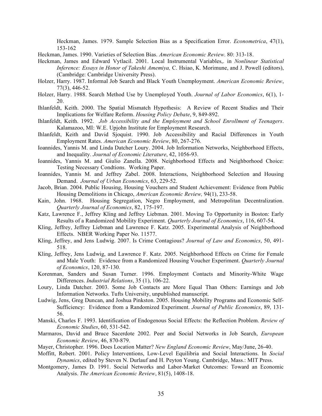Heckman, James. 1979. Sample Selection Bias as a Specification Error. *Econometrica*, 47(1), 153-162

- Heckman, James. 1990. Varieties of Selection Bias. *American Economic Review*. 80: 313-18.
- Heckman, James and Edward Vytlacil. 2001. Local Instrumental Variables,. in *Nonlinear Statistical Inference: Essays in Honor of Takeshi Amemiya,* C. Hsiao, K. Morimune, and J. Powell (editors), (Cambridge: Cambridge University Press).
- Holzer, Harry. 1987. Informal Job Search and Black Youth Unemployment. *American Economic Review*, 77(3), 446-52.
- Holzer, Harry. 1988. Search Method Use by Unemployed Youth. *Journal of Labor Economics*, 6(1), 1- 20.
- Ihlanfeldt, Keith. 2000. The Spatial Mismatch Hypothesis: A Review of Recent Studies and Their Implications for Welfare Reform. *Housing Policy Debate*, 9, 849-892.
- Ihlanfeldt, Keith. 1992. *Job Accessibility and the Employment and School Enrollment of Teenagers*. Kalamazoo, MI: W.E. Upjohn Institute for Employment Research.
- Ihlanfeldt, Keith and David Sjoquist. 1990. Job Accessibility and Racial Differences in Youth Employment Rates. *American Economic Review*, 80, 267-276.
- Ioannides, Yannis M. and Linda Datcher Loury. 2004. Job Information Networks, Neighborhood Effects, and Inequality. *Journal of Economic Literature*, 42, 1056-93.
- Ioannides, Yannis M. and Giulio Zanella. 2008. Neighborhood Effects and Neighborhood Choice: Testing Necessary Condtions. Working Paper.
- Ioannides, Yannis M. and Jeffrey Zabel. 2008. Interactions, Neighborhood Selection and Housing Demand. *Journal of Urban Economics*, 63, 229-52.
- Jacob, Brian. 2004. Public Housing, Housing Vouchers and Student Achievement: Evidence from Public Housing Demolitions in Chicago, *American Economic Review,* 94(1), 233-58.
- Kain, John. 1968. Housing Segregation, Negro Employment, and Metropolitan Decentralization. *Quarterly Journal of Economics*, 82, 175-197.
- Katz, Lawrence F., Jeffrey Kling and Jeffrey Liebman. 2001. Moving To Opportunity in Boston: Early Results of a Randomized Mobility Experiment. *Quarterly Journal of Economics*, 116, 607-54.
- Kling, Jeffrey, Jeffrey Liebman and Lawrence F. Katz. 2005. Experimental Analysis of Neighborhood Effects. NBER Working Paper No. 11577.
- Kling, Jeffrey, and Jens Ludwig. 2007. Is Crime Contagious? *Journal of Law and Economics*, 50, 491- 518.
- Kling, Jeffrey, Jens Ludwig, and Lawrence F. Katz. 2005. Neighborhood Effects on Crime for Female and Male Youth: Evidence from a Randomized Housing Voucher Experiment. *Quarterly Journal of Economics*, 120, 87-130.
- Korenman, Sanders and Susan Turner. 1996. Employment Contacts and Minority-White Wage Differences. *Industrial Relations*, 35 (1), 106-22.
- Loury, Linda Datcher. 2003. Some Job Contacts are More Equal Than Others: Earnings and Job Information Networks. Tufts University, unpublished manuscript.
- Ludwig, Jens, Greg Duncan, and Joshua Pinkston. 2005. Housing Mobility Programs and Economic Self-Sufficiency: Evidence from a Randomized Experiment. *Journal of Public Economics*, 89, 131- 56.
- Manski, Charles F. 1993. Identification of Endogenous Social Effects: the Reflection Problem. *Review of Economic Studies*, 60, 531-542.
- Marmaros, David and Bruce Sacerdote 2002. Peer and Social Networks in Job Search, *European Economic Review*, 46, 870-879.
- Mayer, Christopher. 1996. Does Location Matter? *New England Economic Review*, May/June, 26-40.
- Moffitt, Robert. 2001. Policy Interventions, Low-Level Equilibria and Social Interactions. In *Social Dynamics*, edited by Steven N. Durlauf and H. Peyton Young. Cambridge, Mass.: MIT Press.
- Montgomery, James D. 1991. Social Networks and Labor-Market Outcomes: Toward an Economic Analysis. *The American Economic Review*, 81(5), 1408-18.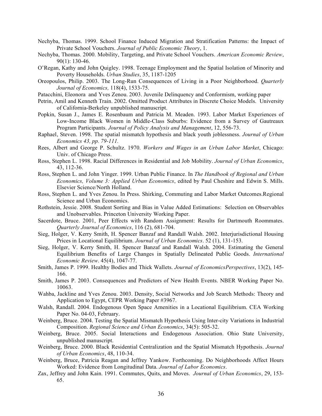- Nechyba, Thomas. 1999. School Finance Induced Migration and Stratification Patterns: the Impact of Private School Vouchers. *Journal of Public Economic Theory*, 1.
- Nechyba, Thomas. 2000. Mobility, Targeting, and Private School Vouchers. *American Economic Review*, 90(1): 130-46.
- O'Regan, Kathy and John Quigley. 1998. Teenage Employment and the Spatial Isolation of Minority and Poverty Households. *Urban Studies*, 35, 1187-1205
- Oreopoulos, Philip. 2003. The Long-Run Consequences of Living in a Poor Neighborhood. *Quarterly Journal of Economics,* 118(4), 1533-75.
- Patacchini, Eleonora and Yves Zenou. 2003. Juvenile Delinquency and Conformism, working paper
- Petrin, Amil and Kenneth Train. 2002. Omitted Product Attributes in Discrete Choice Models. University of California-Berkeley unpublished manuscript.
- Popkin, Susan J., James E. Rosenbaum and Patricia M. Meaden. 1993. Labor Market Experiences of Low-Income Black Women in Middle-Class Suburbs: Evidence from a Survey of Gautreaux Program Participants. *Journal of Policy Analysis and Management*, 12, 556-73.
- Raphael, Steven. 1998. The spatial mismatch hypothesis and black youth joblessness. *Journal of Urban Economics 43, pp. 79-111.*
- Rees, Albert and George P. Schultz. 1970. *Workers and Wages in an Urban Labor Market*, Chicago: Univ. of Chicago Press.
- Ross, Stephen L. 1998. Racial Differences in Residential and Job Mobility. *Journal of Urban Economics*, 43, 112-36.
- Ross, Stephen L. and John Yinger. 1999. Urban Public Finance. In *The Handbook of Regional and Urban Economics, Volume 3: Applied Urban Economics*, edited by Paul Cheshire and Edwin S. Mills. Elsevier Science/North Holland.
- Ross, Stephen L. and Yves Zenou. In Press. Shirking, Commuting and Labor Market Outcomes.Regional Science and Urban Economics.
- Rothstein, Jessie. 2008. Student Sorting and Bias in Value Added Estimations: Selection on Observables and Unobservables. Princeton University Working Paper.
- Sacerdote, Bruce. 2001, Peer Effects with Random Assignment: Results for Dartmouth Roommates. *Quarterly Journal of Economics*, 116 (2), 681-704.
- Sieg, Holger, V. Kerry Smith, H. Spencer Banzaf and Randall Walsh. 2002. Interjurisdictional Housing Prices in Locational Equilibrium. *Journal of Urban Economics*. 52 (1), 131-153.
- Sieg, Holger, V. Kerry Smith, H. Spencer Banzaf and Randall Walsh. 2004. Estimating the General Equilibrium Benefits of Large Changes in Spatially Delineated Public Goods. *International Economic Review*. 45(4), 1047-77.
- Smith, James P. 1999. Healthy Bodies and Thick Wallets. *Journal of EconomicsPerspectives*, 13(2), 145- 166.
- Smith, James P. 2003. Consequences and Predictors of New Health Events. NBER Working Paper No. 10063.
- Wahba, Jackline and Yves Zenou. 2003. Density, Social Networks and Job Search Methods: Theory and Application to Egypt, CEPR Working Paper #3967.
- Walsh, Randall. 2004. Endogenous Open Space Amenities in a Locational Equilibrium. CEA Working Paper No. 04-03, February.
- Weinberg, Bruce. 2004. Testing the Spatial Mismatch Hypothesis Using Inter-city Variations in Industrial Composition. *Regional Science and Urban Economics*, 34(5): 505-32.
- Weinberg, Bruce. 2005. Social Interactions and Endogenous Association. Ohio State University, unpublished manuscript.
- Weinberg, Bruce. 2000. Black Residential Centralization and the Spatial Mismatch Hypothesis. *Journal of Urban Economics*, 48, 110-34.
- Weinberg, Bruce, Patricia Reagan and Jeffrey Yankow. Forthcoming. Do Neighborhoods Affect Hours Worked: Evidence from Longitudinal Data. *Journal of Labor Economics*.
- Zax, Jeffrey and John Kain. 1991. Commutes, Quits, and Moves. *Journal of Urban Economics*, 29, 153- 65.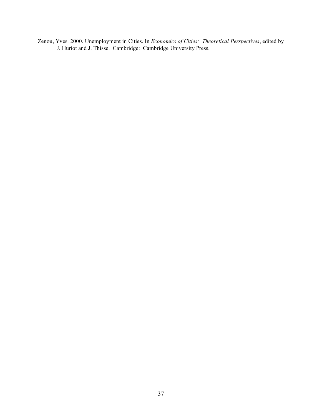Zenou, Yves. 2000. Unemployment in Cities. In *Economics of Cities: Theoretical Perspectives*, edited by J. Huriot and J. Thisse. Cambridge: Cambridge University Press.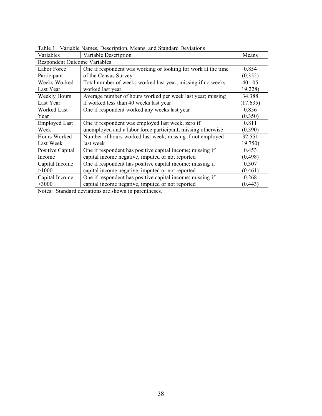| Table 1: Variable Names, Description, Means, and Standard Deviations |                                                               |          |  |  |  |  |  |  |
|----------------------------------------------------------------------|---------------------------------------------------------------|----------|--|--|--|--|--|--|
| Variables<br>Variable Description                                    |                                                               |          |  |  |  |  |  |  |
| <b>Respondent Outcome Variables</b>                                  |                                                               |          |  |  |  |  |  |  |
| Labor Force                                                          | One if respondent was working or looking for work at the time | 0.854    |  |  |  |  |  |  |
| Participant                                                          | of the Census Survey                                          | (0.352)  |  |  |  |  |  |  |
| Weeks Worked                                                         | Total number of weeks worked last year; missing if no weeks   | 40.105   |  |  |  |  |  |  |
| Last Year                                                            | worked last year                                              | 19.228)  |  |  |  |  |  |  |
| Weekly Hours                                                         | Average number of hours worked per week last year; missing    | 34.388   |  |  |  |  |  |  |
| Last Year                                                            | if worked less than 40 weeks last year                        | (17.635) |  |  |  |  |  |  |
| Worked Last                                                          | One if respondent worked any weeks last year                  | 0.856    |  |  |  |  |  |  |
| Year                                                                 |                                                               | (0.350)  |  |  |  |  |  |  |
| <b>Employed Last</b>                                                 | One if respondent was employed last week, zero if             | 0.811    |  |  |  |  |  |  |
| Week                                                                 | unemployed and a labor force participant, missing otherwise   | (0.390)  |  |  |  |  |  |  |
| Hours Worked                                                         | Number of hours worked last week; missing if not employed     | 32.551   |  |  |  |  |  |  |
| Last Week                                                            | last week                                                     | 19.750)  |  |  |  |  |  |  |
| Positive Capital                                                     | One if respondent has positive capital income; missing if     | 0.453    |  |  |  |  |  |  |
| Income                                                               | capital income negative, imputed or not reported              | (0.498)  |  |  |  |  |  |  |
| Capital Income                                                       | One if respondent has positive capital income; missing if     | 0.307    |  |  |  |  |  |  |
| >1000                                                                | capital income negative, imputed or not reported              | (0.461)  |  |  |  |  |  |  |
| Capital Income                                                       | One if respondent has positive capital income; missing if     | 0.268    |  |  |  |  |  |  |
| >3000                                                                | capital income negative, imputed or not reported              | (0.443)  |  |  |  |  |  |  |

Notes: Standard deviations are shown in parentheses.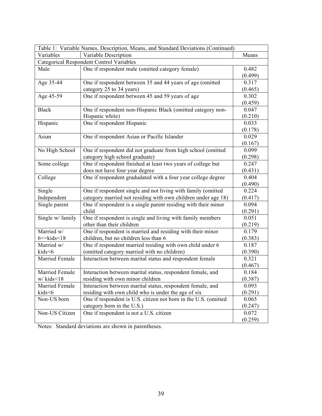| Table 1: Variable Names, Description, Means, and Standard Deviations (Continued) |                                                                 |         |  |  |  |  |  |  |
|----------------------------------------------------------------------------------|-----------------------------------------------------------------|---------|--|--|--|--|--|--|
| Variables                                                                        | Variable Description                                            | Means   |  |  |  |  |  |  |
|                                                                                  | <b>Categorical Respondent Control Variables</b>                 |         |  |  |  |  |  |  |
| Male                                                                             | One if respondent male (omitted category female)                | 0.482   |  |  |  |  |  |  |
|                                                                                  |                                                                 | (0.499) |  |  |  |  |  |  |
| Age 35-44                                                                        | One if respondent between 35 and 44 years of age (omitted       | 0.317   |  |  |  |  |  |  |
|                                                                                  | category 25 to 34 years)                                        | (0.465) |  |  |  |  |  |  |
| Age 45-59                                                                        | One if respondent between 45 and 59 years of age                | 0.302   |  |  |  |  |  |  |
|                                                                                  |                                                                 | (0.459) |  |  |  |  |  |  |
| <b>Black</b>                                                                     | One if respondent non-Hispanic Black (omitted category non-     | 0.047   |  |  |  |  |  |  |
|                                                                                  | Hispanic white)                                                 | (0.210) |  |  |  |  |  |  |
| Hispanic                                                                         | One if respondent Hispanic                                      | 0.033   |  |  |  |  |  |  |
|                                                                                  |                                                                 | (0.178) |  |  |  |  |  |  |
| Asian                                                                            | One if respondent Asian or Pacific Islander                     | 0.029   |  |  |  |  |  |  |
|                                                                                  |                                                                 | (0.167) |  |  |  |  |  |  |
| No High School                                                                   | One if respondent did not graduate from high school (omitted    | 0.099   |  |  |  |  |  |  |
|                                                                                  | category high school graduate)                                  | (0.298) |  |  |  |  |  |  |
| Some college                                                                     | One if respondent finished at least two years of college but    | 0.247   |  |  |  |  |  |  |
|                                                                                  | does not have four year degree                                  | (0.431) |  |  |  |  |  |  |
| College                                                                          | One if respondent gradudated with a four year college degree    | 0.404   |  |  |  |  |  |  |
|                                                                                  |                                                                 | (0.490) |  |  |  |  |  |  |
| Single                                                                           | One if respondent single and not living with family (omitted    | 0.224   |  |  |  |  |  |  |
| Independent                                                                      | category married not residing with own children under age 18)   | (0.417) |  |  |  |  |  |  |
| Single parent                                                                    | One if respondent is a single parent residing with their minor  | 0.094   |  |  |  |  |  |  |
|                                                                                  | child                                                           | (0.291) |  |  |  |  |  |  |
| Single w/ family                                                                 | One if respondent is single and living with family members      | 0.051   |  |  |  |  |  |  |
|                                                                                  | other than their children                                       | (0.219) |  |  |  |  |  |  |
| Married w/                                                                       | One if respondent is married and residing with their minor      | 0.179   |  |  |  |  |  |  |
| $6$ < = kids < 18                                                                | children, but no children less than 6                           | (0.383) |  |  |  |  |  |  |
| Married w/                                                                       | One if respondent married residing with own child under 6       | 0.187   |  |  |  |  |  |  |
| kids<6                                                                           | (omitted category married with no children)                     | (0.390) |  |  |  |  |  |  |
| <b>Married Female</b>                                                            | Interaction between marital status and respondent female        | 0.321   |  |  |  |  |  |  |
|                                                                                  |                                                                 | (0.467) |  |  |  |  |  |  |
| Married Female                                                                   | Interaction between marital status, respondent female, and      | 0.184   |  |  |  |  |  |  |
| $w/\text{kids}$ < 18                                                             | residing with own minor children                                | (0.387) |  |  |  |  |  |  |
| Married Female                                                                   | Interaction between marital status, respondent female, and      | 0.093   |  |  |  |  |  |  |
| kids<6                                                                           | residing with own child who is under the age of six             | (0.291) |  |  |  |  |  |  |
| Non-US born                                                                      | One if respondent is U.S. citizen not born in the U.S. (omitted | 0.065   |  |  |  |  |  |  |
|                                                                                  | category born in the U.S.)                                      | (0.247) |  |  |  |  |  |  |
| Non-US Citizen                                                                   | One if respondent is not a U.S. citizen                         | 0.072   |  |  |  |  |  |  |
|                                                                                  |                                                                 | (0.259) |  |  |  |  |  |  |

Notes: Standard deviations are shown in parentheses.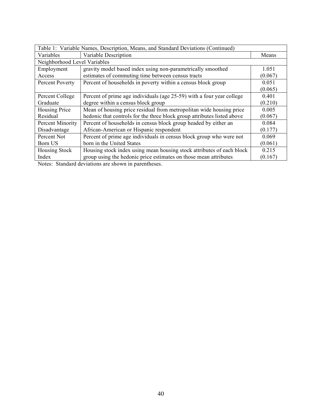| Table 1: Variable Names, Description, Means, and Standard Deviations (Continued) |                                                                         |         |  |  |  |  |  |
|----------------------------------------------------------------------------------|-------------------------------------------------------------------------|---------|--|--|--|--|--|
| Variables                                                                        | Variable Description                                                    |         |  |  |  |  |  |
| Neighborhood Level Variables                                                     |                                                                         |         |  |  |  |  |  |
| Employment                                                                       | gravity model based index using non-parametrically smoothed             | 1.051   |  |  |  |  |  |
| Access                                                                           | estimates of commuting time between census tracts                       | (0.067) |  |  |  |  |  |
| Percent Poverty                                                                  | Percent of households in poverty within a census block group            | 0.051   |  |  |  |  |  |
|                                                                                  |                                                                         | (0.065) |  |  |  |  |  |
| Percent College                                                                  | Percent of prime age individuals (age 25-59) with a four year college   | 0.401   |  |  |  |  |  |
| Graduate                                                                         | degree within a census block group                                      | (0.210) |  |  |  |  |  |
| Housing Price                                                                    | Mean of housing price residual from metropolitan wide housing price     | 0.005   |  |  |  |  |  |
| Residual                                                                         | hedonic that controls for the three block group attributes listed above | (0.067) |  |  |  |  |  |
| Percent Minority                                                                 | Percent of households in census block group headed by either an         | 0.084   |  |  |  |  |  |
| Disadvantage                                                                     | African-American or Hispanic respondent                                 | (0.177) |  |  |  |  |  |
| Percent Not                                                                      | Percent of prime age individuals in census block group who were not     | 0.069   |  |  |  |  |  |
| Born US                                                                          | born in the United States                                               | (0.061) |  |  |  |  |  |
| Housing Stock                                                                    | Housing stock index using mean housing stock attributes of each block   | 0.215   |  |  |  |  |  |
| Index                                                                            | group using the hedonic price estimates on those mean attributes        | (0.167) |  |  |  |  |  |

Notes: Standard deviations are shown in parentheses.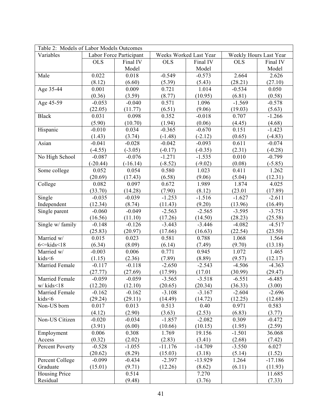| Table 2: Models of Labor Models Outcomes |                 |                         |                  |                        |                        |                  |
|------------------------------------------|-----------------|-------------------------|------------------|------------------------|------------------------|------------------|
| Variables                                |                 | Labor Force Participant |                  | Weeks Worked Last Year | Weekly Hours Last Year |                  |
|                                          | <b>OLS</b>      | Final IV                | <b>OLS</b>       | Final IV               | <b>OLS</b>             | Final IV         |
|                                          |                 | Model                   |                  | Model                  |                        | Model            |
| Male                                     | 0.022           | 0.018                   | $-0.549$         | $-0.573$               | 2.664                  | 2.626            |
|                                          | (8.12)          | (6.60)                  | (5.39)           | (5.43)                 | (28.21)                | (27.10)          |
| Age 35-44                                | 0.001           | 0.009                   | 0.721            | 1.014                  | $-0.534$               | 0.050            |
|                                          | (0.36)          | (3.59)                  | (8.77)           | (10.95)                | (6.81)                 | (0.58)           |
| Age 45-59                                | $-0.053$        | $-0.040$                | 0.571            | 1.096                  | $-1.569$               | $-0.578$         |
|                                          | (22.05)         | (11.77)                 | (6.51)           | (9.06)                 | (19.03)                | (5.63)           |
| <b>Black</b>                             | 0.031           | 0.098                   | 0.352            | $-0.018$               | 0.707                  | $-1.266$         |
|                                          | (5.90)          | (10.70)                 | (1.94)           | (0.06)                 | (4.45)                 | (4.68)           |
| Hispanic                                 | $-0.010$        | 0.034                   | $-0.365$         | $-0.670$               | 0.151                  | $-1.423$         |
|                                          | (1.43)          | (3.74)                  | $(-1.48)$        | $(-2.12)$              | (0.65)                 | $(-4.83)$        |
| Asian                                    | $-0.041$        | $-0.028$                | $-0.042$         | $-0.093$               | 0.611                  | $-0.074$         |
|                                          | $(-4.55)$       | $(-3.05)$               | $(-0.17)$        | $(-0.35)$              | (2.31)                 | $(-0.28)$        |
| No High School                           | $-0.087$        | $-0.076$                | $-1.271$         | $-1.535$               | 0.010                  | $-0.799$         |
|                                          | $(-20.44)$      | $(-16.14)$              | $(-8.52)$        | $(-9.02)$              | (0.08)                 | $(-5.85)$        |
| Some college                             | 0.052           | 0.054                   | 0.580            | 1.023                  | 0.411                  | 1.262            |
|                                          | (20.69)         | (17.43)                 | (6.58)           | (9.06)                 | (5.04)                 | (12.31)          |
| College                                  | 0.082           | 0.097                   | 0.672            | 1.989                  | 1.874                  | 4.025            |
|                                          | (33.70)         | (14.28)                 | (7.90)           | (8.12)                 | (23.01)                | (17.89)          |
| Single                                   | $-0.035$        | $-0.039$                | $-1.253$         | $-1.516$               | $-1.627$               | $-2.611$         |
| Independent                              | (12.34)         | (8.74)                  | (11.43)          | (9.20)                 | (13.96)                | (16.49)          |
| Single parent                            | $-0.060$        | $-0.049$                | $-2.563$         | $-2.565$               | $-3.595$               | $-3.751$         |
|                                          | (16.56)         | (11.10)                 | (17.26)          | (14.50)                | (28.23)                | (25.58)          |
| Single w/ family                         | $-0.148$        | $-0.126$                | $-3.443$         | $-3.446$               | $-4.082$               | $-4.517$         |
|                                          | (25.83)         | (20.97)                 | (17.66)          | (16.63)                | (22.54)                | (23.50)          |
| Married w/                               | 0.015           | 0.023                   | 0.581            | 0.788                  | 1.068                  | 1.564            |
| $6 < =$ kids $< 18$                      | (6.34)          | (8.09)                  | (6.14)           | (7.49)                 | (9.70)                 | (13.18)          |
| Married w/                               | $-0.003$        | 0.006                   | 0.771            | 0.945                  | 1.072                  | 1.465            |
| kids<6                                   | (1.15)          | (2.36)                  | (7.89)           | (8.89)                 | (9.57)                 | (12.17)          |
| Married Female                           | $-0.117$        | $-0.118$                | $-2.650$         | $-2.543$               | $-4.506$               | $-4.363$         |
|                                          | (27.77)         | (27.69)                 | (17.99)          | (17.01)                | (30.99)                | (29.47)          |
| Married Female                           | $-0.059$        | $-0.059$                | $-3.565$         | $-3.518$               | $-6.551$               | $-6.485$         |
| w/kids < 18                              | (12.20)         | (12.10)                 | (20.65)          | (20.34)                | (36.33)                | (3.00)           |
| Married Female                           | $-0.162$        | $-0.162$                | $-3.108$         | $-3.167$               | $-2.604$               | $-2.696$         |
| kids $<6$                                | (29.24)         | (29.11)                 | (14.49)          | (14.72)                | (12.25)                | (12.68)          |
| Non-US born                              | 0.017           | 0.013                   | 0.513            | 0.40                   | 0.971                  | 0.583            |
|                                          | (4.12)          | (2.90)                  | (3.63)           | (2.53)                 | (6.83)                 | (3.77)           |
| Non-US Citizen                           | $-0.020$        | $-0.034$                | $-1.857$         | $-2.082$               | 0.309                  | $-0.472$         |
|                                          | (3.91)<br>0.006 | (6.00)<br>0.308         | (10.66)<br>1.769 | (10.15)<br>19.156      | (1.95)<br>$-1.501$     | (2.59)<br>36.068 |
| Employment<br>Access                     | (0.32)          | (2.02)                  | (2.83)           | (3.41)                 | (2.68)                 | (7.42)           |
| Percent Poverty                          | $-0.528$        | $-1.055$                | $-11.176$        | $-14.709$              | $-3.550$               | 6.027            |
|                                          | (20.62)         | (8.29)                  | (15.03)          | (3.18)                 | (5.14)                 | (1.52)           |
| Percent College                          | $-0.099$        | $-0.434$                | $-2.397$         | $-13.929$              | 1.264                  | $-17.186$        |
| Graduate                                 | (15.01)         | (9.71)                  | (12.26)          | (8.62)                 | (6.11)                 | (11.93)          |
| Housing Price                            |                 | 0.514                   |                  | 7.270                  |                        | 11.685           |
| Residual                                 |                 | (9.48)                  |                  | (3.76)                 |                        | (7.33)           |
|                                          |                 |                         |                  |                        |                        |                  |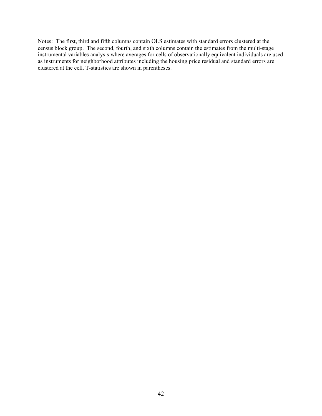Notes: The first, third and fifth columns contain OLS estimates with standard errors clustered at the census block group. The second, fourth, and sixth columns contain the estimates from the multi-stage instrumental variables analysis where averages for cells of observationally equivalent individuals are used as instruments for neighborhood attributes including the housing price residual and standard errors are clustered at the cell. T-statistics are shown in parentheses.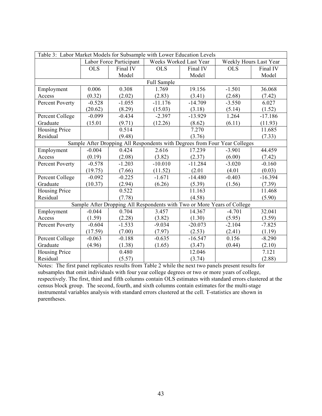|                      | Table 3: Labor Market Models for Subsample with Lower Education Levels |                         |                                                                            |                        |            |                        |  |  |
|----------------------|------------------------------------------------------------------------|-------------------------|----------------------------------------------------------------------------|------------------------|------------|------------------------|--|--|
|                      |                                                                        | Labor Force Participant |                                                                            | Weeks Worked Last Year |            | Weekly Hours Last Year |  |  |
|                      | <b>OLS</b>                                                             | Final IV                | <b>OLS</b>                                                                 | Final IV               | <b>OLS</b> | Final IV               |  |  |
|                      |                                                                        | Model                   |                                                                            | Model                  |            | Model                  |  |  |
| Full Sample          |                                                                        |                         |                                                                            |                        |            |                        |  |  |
| Employment           | 0.006                                                                  | 0.308                   | 1.769                                                                      | 19.156                 | $-1.501$   | 36.068                 |  |  |
| Access               | (0.32)                                                                 | (2.02)                  | (2.83)                                                                     | (3.41)                 | (2.68)     | (7.42)                 |  |  |
| Percent Poverty      | $-0.528$                                                               | $-1.055$                | $-11.176$                                                                  | $-14.709$              | $-3.550$   | 6.027                  |  |  |
|                      | (20.62)                                                                | (8.29)                  | (15.03)                                                                    | (3.18)                 | (5.14)     | (1.52)                 |  |  |
| Percent College      | $-0.099$                                                               | $-0.434$                | $-2.397$                                                                   | $-13.929$              | 1.264      | $-17.186$              |  |  |
| Graduate             | (15.01)                                                                | (9.71)                  | (12.26)                                                                    | (8.62)                 | (6.11)     | (11.93)                |  |  |
| <b>Housing Price</b> |                                                                        | 0.514                   |                                                                            | 7.270                  |            | 11.685                 |  |  |
| Residual             |                                                                        | (9.48)                  |                                                                            | (3.76)                 |            | (7.33)                 |  |  |
|                      |                                                                        |                         | Sample After Dropping All Respondents with Degrees from Four Year Colleges |                        |            |                        |  |  |
| Employment           | $-0.004$                                                               | 0.424                   | 2.616                                                                      | 17.239                 | $-3.901$   | 44.459                 |  |  |
| Access               | (0.19)                                                                 | (2.08)                  | (3.82)                                                                     | (2.37)                 | (6.00)     | (7.42)                 |  |  |
| Percent Poverty      | $-0.578$                                                               | $-1.203$                | $-10.010$                                                                  | $-11.284$              | $-3.020$   | $-0.160$               |  |  |
|                      | (19.75)                                                                | (7.66)                  | (11.52)                                                                    | (2.01)                 | (4.01)     | (0.03)                 |  |  |
| Percent College      | $-0.092$                                                               | $-0.225$                | $-1.671$                                                                   | $-14.480$              | $-0.403$   | $-16.394$              |  |  |
| Graduate             | (10.37)                                                                | (2.94)                  | (6.26)                                                                     | (5.39)                 | (1.56)     | (7.39)                 |  |  |
| Housing Price        |                                                                        | 0.522                   |                                                                            | 11.163                 |            | 11.468                 |  |  |
| Residual             |                                                                        | (7.78)                  |                                                                            | (4.58)                 |            | (5.90)                 |  |  |
|                      |                                                                        |                         | Sample After Dropping All Respondents with Two or More Years of College    |                        |            |                        |  |  |
| Employment           | $-0.044$                                                               | 0.704                   | 3.457                                                                      | 14.367                 | $-4.701$   | 32.041                 |  |  |
| Access               | (1.59)                                                                 | (2.28)                  | (3.82)                                                                     | (1.30)                 | (5.95)     | (3.59)                 |  |  |
| Percent Poverty      | $-0.604$                                                               | $-1.533$                | $-9.034$                                                                   | $-20.073$              | $-2.104$   | $-7.825$               |  |  |
|                      | (17.59)                                                                | (7.00)                  | (7.97)                                                                     | (2.53)                 | (2.41)     | (1.19)                 |  |  |
| Percent College      | $-0.063$                                                               | $-0.188$                | $-0.635$                                                                   | $-16.547$              | 0.156      | $-8.290$               |  |  |
| Graduate             | (4.96)                                                                 | (1.38)                  | (1.65)                                                                     | (3.47)                 | (0.44)     | (2.10)                 |  |  |
| Housing Price        |                                                                        | 0.480                   |                                                                            | 12.046                 |            | 7.121                  |  |  |
| Residual             |                                                                        | (5.57)                  |                                                                            | (3.74)                 |            | (2.88)                 |  |  |

Notes: The first panel replicates results from Table 2 while the next two panels present results for subsamples that omit individuals with four year college degrees or two or more years of college, respectively. The first, third and fifth columns contain OLS estimates with standard errors clustered at the census block group. The second, fourth, and sixth columns contain estimates for the multi-stage instrumental variables analysis with standard errors clustered at the cell. T-statistics are shown in parentheses.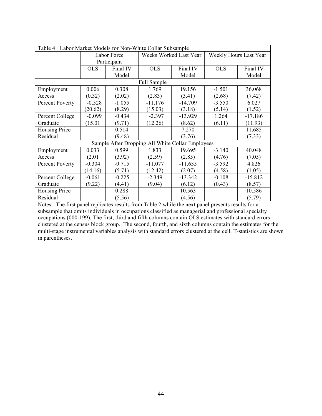| Table 4: Labor Market Models for Non-White Collar Subsample |             |             |                        |                                                  |                        |           |  |  |
|-------------------------------------------------------------|-------------|-------------|------------------------|--------------------------------------------------|------------------------|-----------|--|--|
|                                                             | Labor Force |             | Weeks Worked Last Year |                                                  | Weekly Hours Last Year |           |  |  |
|                                                             |             | Participant |                        |                                                  |                        |           |  |  |
|                                                             | <b>OLS</b>  | Final IV    | <b>OLS</b>             | Final IV                                         | <b>OLS</b>             | Final IV  |  |  |
|                                                             |             | Model       |                        | Model                                            |                        | Model     |  |  |
|                                                             |             |             | Full Sample            |                                                  |                        |           |  |  |
| Employment                                                  | 0.006       | 0.308       | 1.769                  | 19.156                                           | $-1.501$               | 36.068    |  |  |
| Access                                                      | (0.32)      | (2.02)      | (2.83)                 | (3.41)                                           | (2.68)                 | (7.42)    |  |  |
| Percent Poverty                                             | $-0.528$    | $-1.055$    | $-11.176$              | $-14.709$                                        | $-3.550$               | 6.027     |  |  |
|                                                             | (20.62)     | (8.29)      | (15.03)                | (3.18)                                           | (5.14)                 | (1.52)    |  |  |
| Percent College                                             | $-0.099$    | $-0.434$    | $-2.397$               | $-13.929$                                        | 1.264                  | $-17.186$ |  |  |
| Graduate                                                    | (15.01)     | (9.71)      | (12.26)                | (8.62)                                           | (6.11)                 | (11.93)   |  |  |
| Housing Price                                               |             | 0.514       |                        | 7.270                                            |                        | 11.685    |  |  |
| Residual                                                    |             | (9.48)      |                        | (3.76)                                           |                        | (7.33)    |  |  |
|                                                             |             |             |                        | Sample After Dropping All White Collar Employees |                        |           |  |  |
| Employment                                                  | 0.033       | 0.599       | 1.833                  | 19.695                                           | $-3.140$               | 40.048    |  |  |
| Access                                                      | (2.01)      | (3.92)      | (2.59)                 | (2.85)                                           | (4.76)                 | (7.05)    |  |  |
| Percent Poverty                                             | $-0.304$    | $-0.715$    | $-11.077$              | $-11.635$                                        | $-3.592$               | 4.826     |  |  |
|                                                             | (14.16)     | (5.71)      | (12.42)                | (2.07)                                           | (4.58)                 | (1.05)    |  |  |
| Percent College                                             | $-0.061$    | $-0.225$    | $-2.349$               | $-13.342$                                        | $-0.108$               | $-15.812$ |  |  |
| Graduate                                                    | (9.22)      | (4.41)      | (9.04)                 | (6.12)                                           | (0.43)                 | (8.57)    |  |  |
| Housing Price                                               |             | 0.288       |                        | 10.563                                           |                        | 10.586    |  |  |
| Residual                                                    |             | (5.56)      |                        | (4.56)                                           |                        | (5.79)    |  |  |

Notes: The first panel replicates results from Table 2 while the next panel presents results for a subsample that omits individuals in occupations classified as managerial and professional specialty occupations (000-199). The first, third and fifth columns contain OLS estimates with standard errors clustered at the census block group. The second, fourth, and sixth columns contain the estimates for the multi-stage instrumental variables analysis with standard errors clustered at the cell. T-statistics are shown in parentheses.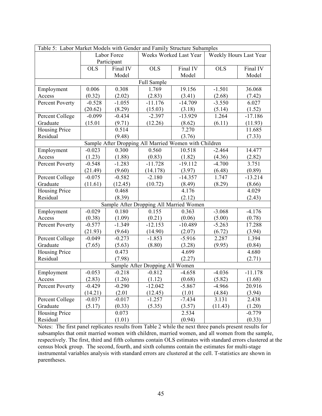| Table 5: Labor Market Models with Gender and Family Structure Subamples |            |             |                                 |                                                       |            |                        |
|-------------------------------------------------------------------------|------------|-------------|---------------------------------|-------------------------------------------------------|------------|------------------------|
|                                                                         |            | Labor Force |                                 | Weeks Worked Last Year                                |            | Weekly Hours Last Year |
|                                                                         |            | Participant |                                 |                                                       |            |                        |
|                                                                         | <b>OLS</b> | Final IV    | <b>OLS</b>                      | Final IV                                              | <b>OLS</b> | Final IV               |
|                                                                         |            | Model       |                                 | Model                                                 |            | Model                  |
|                                                                         |            |             | Full Sample                     |                                                       |            |                        |
| Employment                                                              | 0.006      | 0.308       | 1.769                           | 19.156                                                | $-1.501$   | 36.068                 |
| Access                                                                  | (0.32)     | (2.02)      | (2.83)                          | (3.41)                                                | (2.68)     | (7.42)                 |
| Percent Poverty                                                         | $-0.528$   | $-1.055$    | $-11.176$                       | $-14.709$                                             | $-3.550$   | 6.027                  |
|                                                                         | (20.62)    | (8.29)      | (15.03)                         | (3.18)                                                | (5.14)     | (1.52)                 |
| Percent College                                                         | $-0.099$   | $-0.434$    | $-2.397$                        | $-13.929$                                             | 1.264      | $-17.186$              |
| Graduate                                                                | (15.01)    | (9.71)      | (12.26)                         | (8.62)                                                | (6.11)     | (11.93)                |
| <b>Housing Price</b>                                                    |            | 0.514       |                                 | 7.270                                                 |            | 11.685                 |
| Residual                                                                |            | (9.48)      |                                 | (3.76)                                                |            | (7.33)                 |
|                                                                         |            |             |                                 | Sample After Dropping All Married Women with Children |            |                        |
| Employment                                                              | $-0.023$   | 0.300       | 0.560                           | 10.518                                                | $-2.464$   | 14.477                 |
| Access                                                                  | (1.23)     | (1.88)      | (0.83)                          | (1.82)                                                | (4.36)     | (2.82)                 |
| Percent Poverty                                                         | $-0.548$   | $-1.283$    | $-11.728$                       | $-19.112$                                             | $-4.700$   | 3.751                  |
|                                                                         | (21.49)    | (9.60)      | (14.178)                        | (3.97)                                                | (6.48)     | (0.89)                 |
| Percent College                                                         | $-0.075$   | $-0.582$    | $-2.180$                        | $-14.357$                                             | 1.747      | $-13.214$              |
| Graduate                                                                | (11.61)    | (12.45)     | (10.72)                         | (8.49)                                                | (8.29)     | (8.66)                 |
| Housing Price                                                           |            | 0.468       |                                 | 4.176                                                 |            | 4.029                  |
| Residual                                                                |            | (8.39)      |                                 | (2.12)                                                |            | (2.43)                 |
|                                                                         |            |             |                                 | Sample After Dropping All Married Women               |            |                        |
| Employment                                                              | $-0.029$   | 0.180       | 0.155                           | 0.363                                                 | $-3.068$   | $-4.176$               |
| Access                                                                  | (0.38)     | (1.09)      | (0.21)                          | (0.06)                                                | (5.00)     | (0.78)                 |
| Percent Poverty                                                         | $-0.577$   | $-1.349$    | $-12.153$                       | $-10.489$                                             | $-5.263$   | 17.288                 |
|                                                                         | (21.93)    | (9.64)      | (14.90)                         | (2.07)                                                | (6.72)     | (3.94)                 |
| Percent College                                                         | $-0.049$   | $-0.273$    | $-1.853$                        | $-5.916$                                              | 2.287      | 1.394                  |
| Graduate                                                                | (7.65)     | (5.63)      | (8.80)                          | (3.28)                                                | (9.95)     | (0.84)                 |
| Housing Price                                                           |            | 0.473       |                                 | 4.699                                                 |            | 4.680                  |
| Residual                                                                |            | (7.98)      |                                 | (2.27)                                                |            | (2.71)                 |
|                                                                         |            |             | Sample After Dropping All Women |                                                       |            |                        |
| Employment                                                              | $-0.053$   | $-0.218$    | $-0.812$                        | $-4.658$                                              | $-4.036$   | $-11.178$              |
| Access                                                                  | (2.83)     | (1.26)      | (1.12)                          | (0.68)                                                | (5.82)     | (1.68)                 |
| Percent Poverty                                                         | $-0.429$   | $-0.290$    | $-12.042$                       | $-5.867$                                              | $-4.966$   | 20.916                 |
|                                                                         | (14.21)    | (2.01)      | (12.45)                         | (1.01)                                                | (4.84)     | (3.94)                 |
| Percent College                                                         | $-0.037$   | $-0.017$    | $-1.257$                        | $-7.434$                                              | 3.131      | 2.438                  |
| Graduate                                                                | (5.17)     | (0.33)      | (5.35)                          | (3.57)                                                | (11.43)    | (1.20)                 |
| Housing Price                                                           |            | 0.073       |                                 | 2.534                                                 |            | $-0.779$               |
| Residual                                                                |            | (1.01)      |                                 | (0.94)                                                |            | (0.33)                 |

Notes: The first panel replicates results from Table 2 while the next three panels present results for subsamples that omit married women with children, married women, and all women from the sample, respectively. The first, third and fifth columns contain OLS estimates with standard errors clustered at the census block group. The second, fourth, and sixth columns contain the estimates for multi-stage instrumental variables analysis with standard errors are clustered at the cell. T-statistics are shown in parentheses.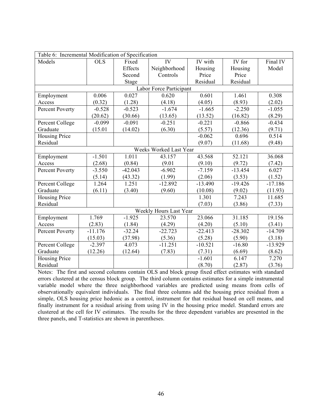| Table 6: Incremental Modification of Specification |            |                |                         |           |           |           |
|----------------------------------------------------|------------|----------------|-------------------------|-----------|-----------|-----------|
| Models                                             | <b>OLS</b> | Fixed          | $\overline{IV}$         | IV with   | IV for    | Final IV  |
|                                                    |            | <b>Effects</b> | Neighborhood            | Housing   | Housing   | Model     |
|                                                    |            | Second         | Controls                | Price     | Price     |           |
|                                                    |            | <b>Stage</b>   |                         | Residual  | Residual  |           |
|                                                    |            |                | Labor Force Participant |           |           |           |
| Employment                                         | 0.006      | 0.027          | 0.620                   | 0.601     | 1.461     | 0.308     |
| Access                                             | (0.32)     | (1.28)         | (4.18)                  | (4.05)    | (8.93)    | (2.02)    |
| Percent Poverty                                    | $-0.528$   | $-0.523$       | $-1.674$                | $-1.665$  | $-2.250$  | $-1.055$  |
|                                                    | (20.62)    | (30.66)        | (13.65)                 | (13.52)   | (16.82)   | (8.29)    |
| Percent College                                    | $-0.099$   | $-0.091$       | $-0.251$                | $-0.221$  | $-0.866$  | $-0.434$  |
| Graduate                                           | (15.01)    | (14.02)        | (6.30)                  | (5.57)    | (12.36)   | (9.71)    |
| Housing Price                                      |            |                |                         | $-0.062$  | 0.696     | 0.514     |
| Residual                                           |            |                |                         | (9.07)    | (11.68)   | (9.48)    |
|                                                    |            |                | Weeks Worked Last Year  |           |           |           |
| Employment                                         | $-1.501$   | 1.011          | 43.157                  | 43.568    | 52.121    | 36.068    |
| Access                                             | (2.68)     | (0.84)         | (9.01)                  | (9.10)    | (9.72)    | (7.42)    |
| Percent Poverty                                    | $-3.550$   | $-42.043$      | $-6.902$                | $-7.159$  | $-13.454$ | 6.027     |
|                                                    | (5.14)     | (43.32)        | (1.99)                  | (2.06)    | (3.53)    | (1.52)    |
| Percent College                                    | 1.264      | 1.251          | $-12.892$               | $-13.490$ | $-19.426$ | $-17.186$ |
| Graduate                                           | (6.11)     | (3.40)         | (9.60)                  | (10.08)   | (9.02)    | (11.93)   |
| Housing Price                                      |            |                |                         | 1.301     | 7.243     | 11.685    |
| Residual                                           |            |                |                         | (7.03)    | (3.86)    | (7.33)    |
|                                                    |            |                | Weekly Hours Last Year  |           |           |           |
| Employment                                         | 1.769      | $-1.925$       | 23.570                  | 23.066    | 31.185    | 19.156    |
| Access                                             | (2.83)     | (1.84)         | (4.29)                  | (4.20)    | (5.10)    | (3.41)    |
| Percent Poverty                                    | $-11.176$  | $-32.24$       | $-22.723$               | $-22.413$ | $-28.302$ | $-14.709$ |
|                                                    | (15.03)    | (37.98)        | (5.36)                  | (5.28)    | (5.90)    | (3.18)    |
| Percent College                                    | $-2.397$   | 4.073          | $-11.251$               | $-10.521$ | $-16.80$  | $-13.929$ |
| Graduate                                           | (12.26)    | (12.64)        | (7.83)                  | (7.31)    | (6.69)    | (8.62)    |
| Housing Price                                      |            |                |                         | $-1.601$  | 6.147     | 7.270     |
| Residual                                           |            |                |                         | (8.70)    | (2.87)    | (3.76)    |

Notes: The first and second columns contain OLS and block group fixed effect estimates with standard errors clustered at the census block group. The third column contains estimates for a simple instrumental variable model where the three neighborhood variables are predicted using means from cells of observationally equivalent individuals. The final three columns add the housing price residual from a simple, OLS housing price hedonic as a control, instrument for that residual based on cell means, and finally instrument for a residual arising from using IV in the housing price model. Standard errors are clustered at the cell for IV estimates. The results for the three dependent variables are presented in the three panels, and T-statistics are shown in parentheses.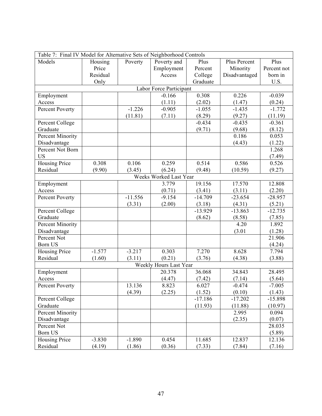| Table 7: Final IV Model for Alternative Sets of Neighborhood Controls |          |           |                         |           |               |             |
|-----------------------------------------------------------------------|----------|-----------|-------------------------|-----------|---------------|-------------|
| Models                                                                | Housing  | Poverty   | Poverty and             | Plus      | Plus Percent  | Plus        |
|                                                                       | Price    |           | Employment              | Percent   | Minority      | Percent not |
|                                                                       | Residual |           | Access                  | College   | Disadvantaged | born in     |
|                                                                       | Only     |           |                         | Graduate  |               | U.S.        |
|                                                                       |          |           | Labor Force Participant |           |               |             |
| Employment                                                            |          |           | $-0.166$                | 0.308     | 0.226         | $-0.039$    |
| Access                                                                |          |           | (1.11)                  | (2.02)    | (1.47)        | (0.24)      |
| Percent Poverty                                                       |          | $-1.226$  | $-0.905$                | $-1.055$  | $-1.435$      | $-1.772$    |
|                                                                       |          | (11.81)   | (7.11)                  | (8.29)    | (9.27)        | (11.19)     |
| Percent College                                                       |          |           |                         | $-0.434$  | $-0.435$      | $-0.361$    |
| Graduate                                                              |          |           |                         | (9.71)    | (9.68)        | (8.12)      |
| Percent Minority                                                      |          |           |                         |           | 0.186         | 0.053       |
| Disadvantage                                                          |          |           |                         |           | (4.43)        | (1.22)      |
| Percent Not Born                                                      |          |           |                         |           |               | 1.268       |
| <b>US</b>                                                             |          |           |                         |           |               | (7.49)      |
| Housing Price                                                         | 0.308    | 0.106     | 0.259                   | 0.514     | 0.586         | 0.526       |
| Residual                                                              | (9.90)   | (3.45)    | (6.24)                  | (9.48)    | (10.59)       | (9.27)      |
|                                                                       |          |           | Weeks Worked Last Year  |           |               |             |
| Employment                                                            |          |           | 3.779                   | 19.156    | 17.570        | 12.808      |
| Access                                                                |          |           | (0.71)                  | (3.41)    | (3.11)        | (2.20)      |
| Percent Poverty                                                       |          | $-11.556$ | $-9.154$                | $-14.709$ | $-23.654$     | $-28.957$   |
|                                                                       |          | (3.31)    | (2.00)                  | (3.18)    | (4.31)        | (5.21)      |
| Percent College                                                       |          |           |                         | $-13.929$ | $-13.863$     | $-12.735$   |
| Graduate                                                              |          |           |                         | (8.62)    | (8.58)        | (7.85)      |
| Percent Minority                                                      |          |           |                         |           | 4.20          | 1.892       |
| Disadvantage                                                          |          |           |                         |           | (3.01)        | (1.28)      |
| Percent Not                                                           |          |           |                         |           |               | 21.906      |
| Born US                                                               |          |           |                         |           |               | (4.24)      |
| Housing Price                                                         | $-1.577$ | $-3.217$  | 0.303                   | 7.270     | 8.628         | 7.794       |
| Residual                                                              | (1.60)   | (3.11)    | (0.21)                  | (3.76)    | (4.38)        | (3.88)      |
|                                                                       |          |           | Weekly Hours Last Year  |           |               |             |
| Employment                                                            |          |           | 20.378                  | 36.068    | 34.843        | 28.495      |
| Access                                                                |          |           | (4.47)                  | (7.42)    | (7.14)        | (5.64)      |
| Percent Poverty                                                       |          | 13.136    | 8.823                   | 6.027     | $-0.474$      | $-7.005$    |
|                                                                       |          | (4.39)    | (2.25)                  | (1.52)    | (0.10)        | (1.43)      |
| Percent College                                                       |          |           |                         | $-17.186$ | $-17.202$     | $-15.898$   |
| Graduate                                                              |          |           |                         | (11.93)   | (11.88)       | (10.97)     |
| Percent Minority                                                      |          |           |                         |           | 2.995         | 0.094       |
| Disadvantage                                                          |          |           |                         |           | (2.35)        | (0.07)      |
| Percent Not                                                           |          |           |                         |           |               | 28.035      |
| Born US                                                               |          |           |                         |           |               | (5.89)      |
| Housing Price                                                         | $-3.830$ | $-1.890$  | 0.454                   | 11.685    | 12.837        | 12.136      |
| Residual                                                              | (4.19)   | (1.86)    | (0.36)                  | (7.33)    | (7.84)        | (7.16)      |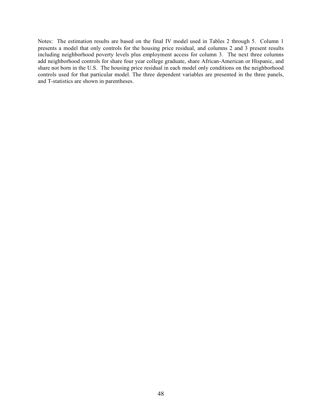Notes: The estimation results are based on the final IV model used in Tables 2 through 5. Column 1 presents a model that only controls for the housing price residual, and columns 2 and 3 present results including neighborhood poverty levels plus employment access for column 3. The next three columns add neighborhood controls for share four year college graduate, share African-American or Hispanic, and share not born in the U.S. The housing price residual in each model only conditions on the neighborhood controls used for that particular model. The three dependent variables are presented in the three panels, and T-statistics are shown in parentheses.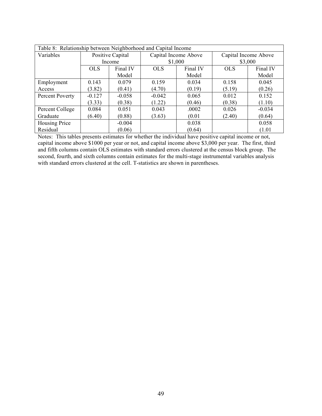| Table 8: Relationship between Neighborhood and Capital Income |            |                  |                                              |          |            |          |  |  |  |
|---------------------------------------------------------------|------------|------------------|----------------------------------------------|----------|------------|----------|--|--|--|
| Variables                                                     |            | Positive Capital | Capital Income Above<br>Capital Income Above |          |            |          |  |  |  |
|                                                               |            | Income           |                                              | \$1,000  | \$3,000    |          |  |  |  |
|                                                               | <b>OLS</b> | Final IV         | <b>OLS</b>                                   | Final IV | <b>OLS</b> | Final IV |  |  |  |
|                                                               |            | Model            |                                              | Model    |            | Model    |  |  |  |
| Employment                                                    | 0.143      | 0.079            | 0.159                                        | 0.034    | 0.158      | 0.045    |  |  |  |
| Access                                                        | (3.82)     | (0.41)           | (4.70)                                       | (0.19)   | (5.19)     | (0.26)   |  |  |  |
| Percent Poverty                                               | $-0.127$   | $-0.058$         | $-0.042$                                     | 0.065    | 0.012      | 0.152    |  |  |  |
|                                                               | (3.33)     | (0.38)           | (1.22)                                       | (0.46)   | (0.38)     | (1.10)   |  |  |  |
| Percent College                                               | 0.084      | 0.051            | 0.043                                        | .0002    | 0.026      | $-0.034$ |  |  |  |
| Graduate                                                      | (6.40)     | (0.88)           | (3.63)                                       | (0.01)   | (2.40)     | (0.64)   |  |  |  |
| Housing Price                                                 |            | $-0.004$         |                                              | 0.038    |            | 0.058    |  |  |  |
| Residual                                                      |            | (0.06)           |                                              | (0.64)   |            | (1.01)   |  |  |  |

Notes: This tables presents estimates for whether the individual have positive capital income or not, capital income above \$1000 per year or not, and capital income above \$3,000 per year. The first, third and fifth columns contain OLS estimates with standard errors clustered at the census block group. The second, fourth, and sixth columns contain estimates for the multi-stage instrumental variables analysis with standard errors clustered at the cell. T-statistics are shown in parentheses.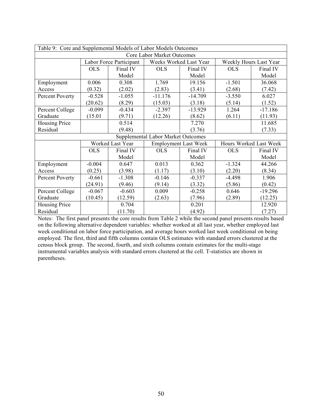| Table 9: Core and Supplemental Models of Labor Models Outcomes |            |                         |                                    |                             |                        |                        |  |  |  |
|----------------------------------------------------------------|------------|-------------------------|------------------------------------|-----------------------------|------------------------|------------------------|--|--|--|
| Core Labor Market Outcomes                                     |            |                         |                                    |                             |                        |                        |  |  |  |
|                                                                |            | Labor Force Participant |                                    | Weeks Worked Last Year      |                        | Weekly Hours Last Year |  |  |  |
|                                                                | <b>OLS</b> | Final IV                | <b>OLS</b>                         | Final IV                    | <b>OLS</b>             | Final IV               |  |  |  |
|                                                                |            | Model                   |                                    | Model                       |                        | Model                  |  |  |  |
| Employment                                                     | 0.006      | 0.308                   | 1.769                              | 19.156                      | $-1.501$               | 36.068                 |  |  |  |
| Access                                                         | (0.32)     | (2.02)                  | (2.83)                             | (3.41)                      | (2.68)                 | (7.42)                 |  |  |  |
| Percent Poverty                                                | $-0.528$   | $-1.055$                | $-11.176$                          | $-14.709$                   | $-3.550$               | 6.027                  |  |  |  |
|                                                                | (20.62)    | (8.29)                  | (15.03)                            | (3.18)                      | (5.14)                 | (1.52)                 |  |  |  |
| Percent College                                                | $-0.099$   | $-0.434$                | $-2.397$                           | $-13.929$                   | 1.264                  | $-17.186$              |  |  |  |
| Graduate                                                       | (15.01)    | (9.71)                  | (12.26)                            | (8.62)                      | (6.11)                 | (11.93)                |  |  |  |
| Housing Price                                                  |            | 0.514                   |                                    | 7.270                       |                        | 11.685                 |  |  |  |
| Residual                                                       |            | (9.48)                  |                                    | (3.76)                      |                        | (7.33)                 |  |  |  |
|                                                                |            |                         | Supplemental Labor Market Outcomes |                             |                        |                        |  |  |  |
|                                                                |            | Worked Last Year        |                                    | <b>Employment Last Week</b> | Hours Worked Last Week |                        |  |  |  |
|                                                                | <b>OLS</b> | Final IV                | <b>OLS</b>                         | Final IV                    | <b>OLS</b>             | Final IV               |  |  |  |
|                                                                |            | Model                   |                                    | Model                       |                        | Model                  |  |  |  |
| Employment                                                     | $-0.004$   | 0.647                   | 0.013                              | 0.362                       | $-1.324$               | 44.266                 |  |  |  |
| Access                                                         | (0.25)     | (3.98)                  | (1.17)                             | (3.10)                      | (2.20)                 | (8.34)                 |  |  |  |
| Percent Poverty                                                | $-0.661$   | $-1.308$                | $-0.146$                           | $-0.337$                    | $-4.498$               | 1.906                  |  |  |  |
|                                                                | (24.91)    | (9.46)                  | (9.14)                             | (3.32)                      | (5.86)                 | (0.42)                 |  |  |  |
| Percent College                                                | $-0.067$   | $-0.603$                | 0.009                              | $-0.258$                    | 0.646                  | $-19.296$              |  |  |  |
| Graduate                                                       | (10.45)    | (12.59)                 | (2.63)                             | (7.96)                      | (2.89)                 | (12.25)                |  |  |  |
| Housing Price                                                  |            | 0.704                   |                                    | 0.201                       |                        | 12.920                 |  |  |  |
| Residual                                                       |            | (11.70)                 |                                    | (4.92)                      |                        | (7.27)                 |  |  |  |

Notes: The first panel presents the core results from Table 2 while the second panel presents results based on the following alternative dependent variables: whether worked at all last year, whether employed last week conditional on labor force participation, and average hours worked last week conditional on being employed. The first, third and fifth columns contain OLS estimates with standard errors clustered at the census block group. The second, fourth, and sixth columns contain estimates for the multi-stage instrumental variables analysis with standard errors clustered at the cell. T-statistics are shown in parentheses.